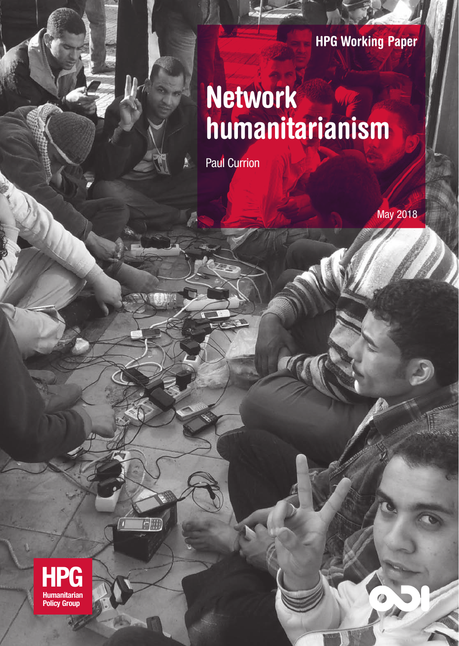#### **HPG Working Paper**

## **Network humanitarianism**

Paul Currion

May 2018

 $\bullet$ 

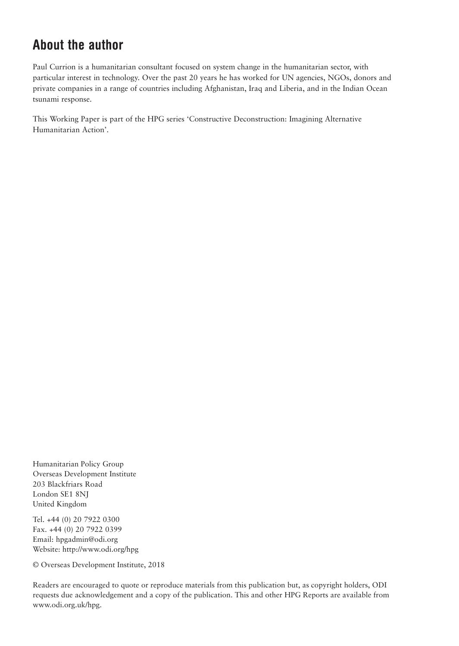#### **About the author**

Paul Currion is a humanitarian consultant focused on system change in the humanitarian sector, with particular interest in technology. Over the past 20 years he has worked for UN agencies, NGOs, donors and private companies in a range of countries including Afghanistan, Iraq and Liberia, and in the Indian Ocean tsunami response.

This Working Paper is part of the HPG series 'Constructive Deconstruction: Imagining Alternative Humanitarian Action'.

Humanitarian Policy Group Overseas Development Institute 203 Blackfriars Road London SE1 8NJ United Kingdom

Tel. +44 (0) 20 7922 0300 Fax. +44 (0) 20 7922 0399 Email: hpgadmin@odi.org Website: http://www.odi.org/hpg

© Overseas Development Institute, 2018

Readers are encouraged to quote or reproduce materials from this publication but, as copyright holders, ODI requests due acknowledgement and a copy of the publication. This and other HPG Reports are available from www.odi.org.uk/hpg.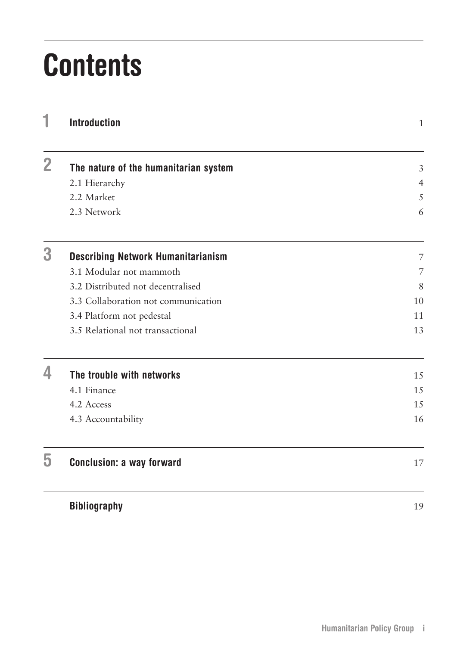# **Contents**

|              | <b>Introduction</b>                       | $\mathbf{1}$   |
|--------------|-------------------------------------------|----------------|
| $\mathbf{2}$ | The nature of the humanitarian system     | $\mathfrak{Z}$ |
|              | 2.1 Hierarchy                             | $\overline{4}$ |
|              | 2.2 Market                                | 5              |
|              | 2.3 Network                               | 6              |
| 3            | <b>Describing Network Humanitarianism</b> | 7              |
|              | 3.1 Modular not mammoth                   | 7              |
|              | 3.2 Distributed not decentralised         | 8              |
|              | 3.3 Collaboration not communication       | 10             |
|              | 3.4 Platform not pedestal                 | 11             |
|              | 3.5 Relational not transactional          | 13             |
| 4            | The trouble with networks                 | 15             |
|              | 4.1 Finance                               | 15             |
|              | 4.2 Access                                | 15             |
|              | 4.3 Accountability                        | 16             |
| ხ            | <b>Conclusion: a way forward</b>          | 17             |
|              | <b>Bibliography</b>                       | 19             |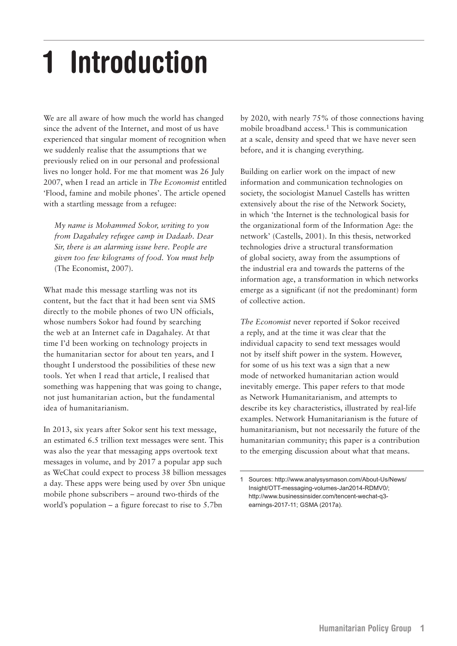# <span id="page-4-0"></span>**1 Introduction**

We are all aware of how much the world has changed since the advent of the Internet, and most of us have experienced that singular moment of recognition when we suddenly realise that the assumptions that we previously relied on in our personal and professional lives no longer hold. For me that moment was 26 July 2007, when I read an article in *The Economist* entitled 'Flood, famine and mobile phones'. The article opened with a startling message from a refugee:

*My name is Mohammed Sokor, writing to you from Dagahaley refugee camp in Dadaab. Dear Sir, there is an alarming issue here. People are given too few kilograms of food. You must help*  (The Economist, 2007).

What made this message startling was not its content, but the fact that it had been sent via SMS directly to the mobile phones of two UN officials, whose numbers Sokor had found by searching the web at an Internet cafe in Dagahaley. At that time I'd been working on technology projects in the humanitarian sector for about ten years, and I thought I understood the possibilities of these new tools. Yet when I read that article, I realised that something was happening that was going to change, not just humanitarian action, but the fundamental idea of humanitarianism.

In 2013, six years after Sokor sent his text message, an estimated 6.5 trillion text messages were sent. This was also the year that messaging apps overtook text messages in volume, and by 2017 a popular app such as WeChat could expect to process 38 billion messages a day. These apps were being used by over 5bn unique mobile phone subscribers – around two-thirds of the world's population – a figure forecast to rise to 5.7bn

by 2020, with nearly 75% of those connections having mobile broadband access.1 This is communication at a scale, density and speed that we have never seen before, and it is changing everything.

Building on earlier work on the impact of new information and communication technologies on society, the sociologist Manuel Castells has written extensively about the rise of the Network Society, in which 'the Internet is the technological basis for the organizational form of the Information Age: the network' (Castells, 2001). In this thesis, networked technologies drive a structural transformation of global society, away from the assumptions of the industrial era and towards the patterns of the information age, a transformation in which networks emerge as a significant (if not the predominant) form of collective action.

*The Economist* never reported if Sokor received a reply, and at the time it was clear that the individual capacity to send text messages would not by itself shift power in the system. However, for some of us his text was a sign that a new mode of networked humanitarian action would inevitably emerge. This paper refers to that mode as Network Humanitarianism, and attempts to describe its key characteristics, illustrated by real-life examples. Network Humanitarianism is the future of humanitarianism, but not necessarily the future of the humanitarian community; this paper is a contribution to the emerging discussion about what that means.

<sup>1</sup> Sources: http://www.analysysmason.com/About-Us/News/ Insight/OTT-messaging-volumes-Jan2014-RDMV0/; http://www.businessinsider.com/tencent-wechat-q3 earnings-2017-11; GSMA (2017a).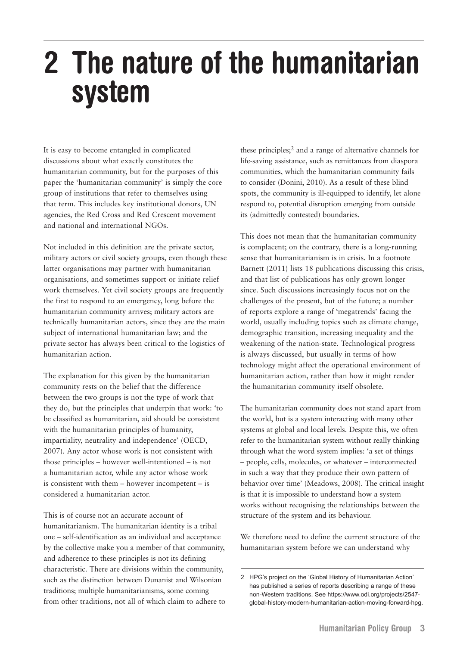### <span id="page-6-0"></span>**2 The nature of the humanitarian system**

It is easy to become entangled in complicated discussions about what exactly constitutes the humanitarian community, but for the purposes of this paper the 'humanitarian community' is simply the core group of institutions that refer to themselves using that term. This includes key institutional donors, UN agencies, the Red Cross and Red Crescent movement and national and international NGOs.

Not included in this definition are the private sector, military actors or civil society groups, even though these latter organisations may partner with humanitarian organisations, and sometimes support or initiate relief work themselves. Yet civil society groups are frequently the first to respond to an emergency, long before the humanitarian community arrives; military actors are technically humanitarian actors, since they are the main subject of international humanitarian law; and the private sector has always been critical to the logistics of humanitarian action.

The explanation for this given by the humanitarian community rests on the belief that the difference between the two groups is not the type of work that they do, but the principles that underpin that work: 'to be classified as humanitarian, aid should be consistent with the humanitarian principles of humanity, impartiality, neutrality and independence' (OECD, 2007). Any actor whose work is not consistent with those principles – however well-intentioned – is not a humanitarian actor, while any actor whose work is consistent with them – however incompetent – is considered a humanitarian actor.

This is of course not an accurate account of humanitarianism. The humanitarian identity is a tribal one – self-identification as an individual and acceptance by the collective make you a member of that community, and adherence to these principles is not its defining characteristic. There are divisions within the community, such as the distinction between Dunanist and Wilsonian traditions; multiple humanitarianisms, some coming from other traditions, not all of which claim to adhere to

these principles;2 and a range of alternative channels for life-saving assistance, such as remittances from diaspora communities, which the humanitarian community fails to consider (Donini, 2010). As a result of these blind spots, the community is ill-equipped to identify, let alone respond to, potential disruption emerging from outside its (admittedly contested) boundaries.

This does not mean that the humanitarian community is complacent; on the contrary, there is a long-running sense that humanitarianism is in crisis. In a footnote Barnett (2011) lists 18 publications discussing this crisis, and that list of publications has only grown longer since. Such discussions increasingly focus not on the challenges of the present, but of the future; a number of reports explore a range of 'megatrends' facing the world, usually including topics such as climate change, demographic transition, increasing inequality and the weakening of the nation-state. Technological progress is always discussed, but usually in terms of how technology might affect the operational environment of humanitarian action, rather than how it might render the humanitarian community itself obsolete.

The humanitarian community does not stand apart from the world, but is a system interacting with many other systems at global and local levels. Despite this, we often refer to the humanitarian system without really thinking through what the word system implies: 'a set of things – people, cells, molecules, or whatever – interconnected in such a way that they produce their own pattern of behavior over time' (Meadows, 2008). The critical insight is that it is impossible to understand how a system works without recognising the relationships between the structure of the system and its behaviour.

We therefore need to define the current structure of the humanitarian system before we can understand why

<sup>2</sup> HPG's project on the 'Global History of Humanitarian Action' has published a series of reports describing a range of these non-Western traditions. See https://www.odi.org/projects/2547 global-history-modern-humanitarian-action-moving-forward-hpg.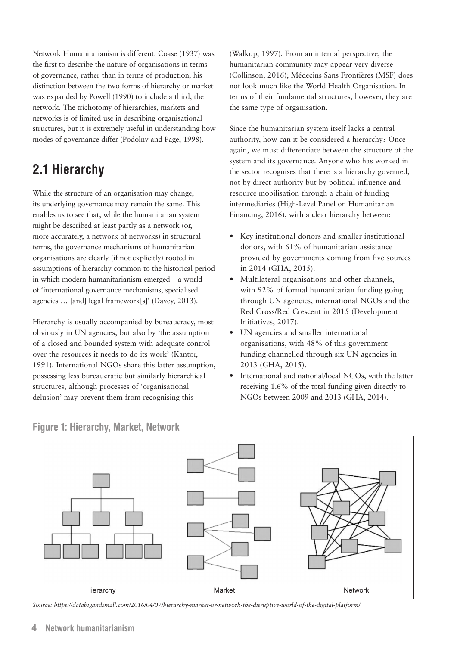<span id="page-7-0"></span>Network Humanitarianism is different. Coase (1937) was the first to describe the nature of organisations in terms of governance, rather than in terms of production; his distinction between the two forms of hierarchy or market was expanded by Powell (1990) to include a third, the network. The trichotomy of hierarchies, markets and networks is of limited use in describing organisational structures, but it is extremely useful in understanding how modes of governance differ (Podolny and Page, 1998).

#### **2.1 Hierarchy**

While the structure of an organisation may change, its underlying governance may remain the same. This enables us to see that, while the humanitarian system might be described at least partly as a network (or, more accurately, a network of networks) in structural terms, the governance mechanisms of humanitarian organisations are clearly (if not explicitly) rooted in assumptions of hierarchy common to the historical period in which modern humanitarianism emerged – a world of 'international governance mechanisms, specialised agencies … [and] legal framework[s]' (Davey, 2013).

Hierarchy is usually accompanied by bureaucracy, most obviously in UN agencies, but also by 'the assumption of a closed and bounded system with adequate control over the resources it needs to do its work' (Kantor, 1991). International NGOs share this latter assumption, possessing less bureaucratic but similarly hierarchical structures, although processes of 'organisational delusion' may prevent them from recognising this

(Walkup, 1997). From an internal perspective, the humanitarian community may appear very diverse (Collinson, 2016); Médecins Sans Frontières (MSF) does not look much like the World Health Organisation. In terms of their fundamental structures, however, they are the same type of organisation.

Since the humanitarian system itself lacks a central authority, how can it be considered a hierarchy? Once again, we must differentiate between the structure of the system and its governance. Anyone who has worked in the sector recognises that there is a hierarchy governed, not by direct authority but by political influence and resource mobilisation through a chain of funding intermediaries (High-Level Panel on Humanitarian Financing, 2016), with a clear hierarchy between:

- Key institutional donors and smaller institutional donors, with 61% of humanitarian assistance provided by governments coming from five sources in 2014 (GHA, 2015).
- Multilateral organisations and other channels, with 92% of formal humanitarian funding going through UN agencies, international NGOs and the Red Cross/Red Crescent in 2015 (Development Initiatives, 2017).
- UN agencies and smaller international organisations, with 48% of this government funding channelled through six UN agencies in 2013 (GHA, 2015).
- International and national/local NGOs, with the latter receiving 1.6% of the total funding given directly to NGOs between 2009 and 2013 (GHA, 2014).



**Figure 1: Hierarchy, Market, Network**

*Source: https://databigandsmall.com/2016/04/07/hierarchy-market-or-network-the-disruptive-world-of-the-digital-platform/*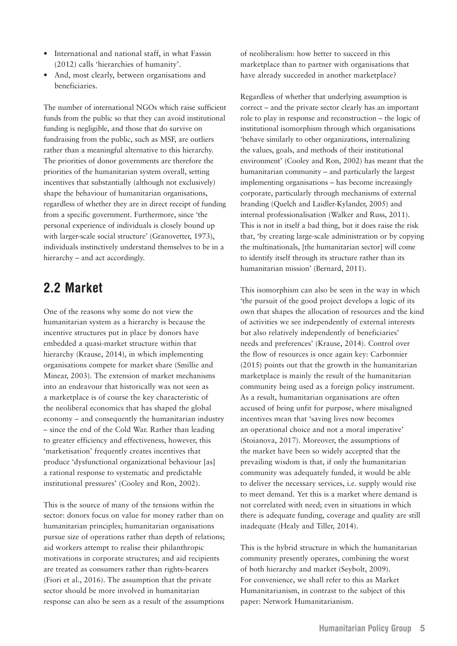- <span id="page-8-0"></span>• International and national staff, in what Fassin (2012) calls 'hierarchies of humanity'.
- And, most clearly, between organisations and beneficiaries.

The number of international NGOs which raise sufficient funds from the public so that they can avoid institutional funding is negligible, and those that do survive on fundraising from the public, such as MSF, are outliers rather than a meaningful alternative to this hierarchy. The priorities of donor governments are therefore the priorities of the humanitarian system overall, setting incentives that substantially (although not exclusively) shape the behaviour of humanitarian organisations, regardless of whether they are in direct receipt of funding from a specific government. Furthermore, since 'the personal experience of individuals is closely bound up with larger-scale social structure' (Granovetter, 1973), individuals instinctively understand themselves to be in a hierarchy – and act accordingly.

#### **2.2 Market**

One of the reasons why some do not view the humanitarian system as a hierarchy is because the incentive structures put in place by donors have embedded a quasi-market structure within that hierarchy (Krause, 2014), in which implementing organisations compete for market share (Smillie and Minear, 2003). The extension of market mechanisms into an endeavour that historically was not seen as a marketplace is of course the key characteristic of the neoliberal economics that has shaped the global economy – and consequently the humanitarian industry – since the end of the Cold War. Rather than leading to greater efficiency and effectiveness, however, this 'marketisation' frequently creates incentives that produce 'dysfunctional organizational behaviour [as] a rational response to systematic and predictable institutional pressures' (Cooley and Ron, 2002).

This is the source of many of the tensions within the sector: donors focus on value for money rather than on humanitarian principles; humanitarian organisations pursue size of operations rather than depth of relations; aid workers attempt to realise their philanthropic motivations in corporate structures; and aid recipients are treated as consumers rather than rights-bearers (Fiori et al., 2016). The assumption that the private sector should be more involved in humanitarian response can also be seen as a result of the assumptions of neoliberalism: how better to succeed in this marketplace than to partner with organisations that have already succeeded in another marketplace?

Regardless of whether that underlying assumption is correct – and the private sector clearly has an important role to play in response and reconstruction – the logic of institutional isomorphism through which organisations 'behave similarly to other organizations, internalizing the values, goals, and methods of their institutional environment' (Cooley and Ron, 2002) has meant that the humanitarian community – and particularly the largest implementing organisations – has become increasingly corporate, particularly through mechanisms of external branding (Quelch and Laidler-Kylander, 2005) and internal professionalisation (Walker and Russ, 2011). This is not in itself a bad thing, but it does raise the risk that, 'by creating large-scale administration or by copying the multinationals, [the humanitarian sector] will come to identify itself through its structure rather than its humanitarian mission' (Bernard, 2011).

This isomorphism can also be seen in the way in which 'the pursuit of the good project develops a logic of its own that shapes the allocation of resources and the kind of activities we see independently of external interests but also relatively independently of beneficiaries' needs and preferences' (Krause, 2014). Control over the flow of resources is once again key: Carbonnier (2015) points out that the growth in the humanitarian marketplace is mainly the result of the humanitarian community being used as a foreign policy instrument. As a result, humanitarian organisations are often accused of being unfit for purpose, where misaligned incentives mean that 'saving lives now becomes an operational choice and not a moral imperative' (Stoianova, 2017). Moreover, the assumptions of the market have been so widely accepted that the prevailing wisdom is that, if only the humanitarian community was adequately funded, it would be able to deliver the necessary services, i.e. supply would rise to meet demand. Yet this is a market where demand is not correlated with need; even in situations in which there is adequate funding, coverage and quality are still inadequate (Healy and Tiller, 2014).

This is the hybrid structure in which the humanitarian community presently operates, combining the worst of both hierarchy and market (Seybolt, 2009). For convenience, we shall refer to this as Market Humanitarianism, in contrast to the subject of this paper: Network Humanitarianism.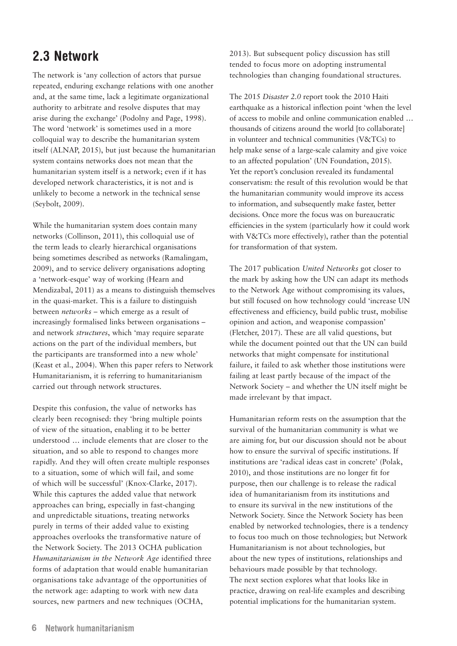#### <span id="page-9-0"></span>**2.3 Network**

The network is 'any collection of actors that pursue repeated, enduring exchange relations with one another and, at the same time, lack a legitimate organizational authority to arbitrate and resolve disputes that may arise during the exchange' (Podolny and Page, 1998). The word 'network' is sometimes used in a more colloquial way to describe the humanitarian system itself (ALNAP, 2015), but just because the humanitarian system contains networks does not mean that the humanitarian system itself is a network; even if it has developed network characteristics, it is not and is unlikely to become a network in the technical sense (Seybolt, 2009).

While the humanitarian system does contain many networks (Collinson, 2011), this colloquial use of the term leads to clearly hierarchical organisations being sometimes described as networks (Ramalingam, 2009), and to service delivery organisations adopting a 'network-esque' way of working (Hearn and Mendizabal, 2011) as a means to distinguish themselves in the quasi-market. This is a failure to distinguish between *networks* – which emerge as a result of increasingly formalised links between organisations – and network *structures*, which 'may require separate actions on the part of the individual members, but the participants are transformed into a new whole' (Keast et al., 2004). When this paper refers to Network Humanitarianism, it is referring to humanitarianism carried out through network structures.

Despite this confusion, the value of networks has clearly been recognised: they 'bring multiple points of view of the situation, enabling it to be better understood … include elements that are closer to the situation, and so able to respond to changes more rapidly. And they will often create multiple responses to a situation, some of which will fail, and some of which will be successful' (Knox-Clarke, 2017). While this captures the added value that network approaches can bring, especially in fast-changing and unpredictable situations, treating networks purely in terms of their added value to existing approaches overlooks the transformative nature of the Network Society. The 2013 OCHA publication *Humanitarianism in the Network Age* identified three forms of adaptation that would enable humanitarian organisations take advantage of the opportunities of the network age: adapting to work with new data sources, new partners and new techniques (OCHA,

2013). But subsequent policy discussion has still tended to focus more on adopting instrumental technologies than changing foundational structures.

The 2015 *Disaster 2.0* report took the 2010 Haiti earthquake as a historical inflection point 'when the level of access to mobile and online communication enabled … thousands of citizens around the world [to collaborate] in volunteer and technical communities (V&TCs) to help make sense of a large-scale calamity and give voice to an affected population' (UN Foundation, 2015). Yet the report's conclusion revealed its fundamental conservatism: the result of this revolution would be that the humanitarian community would improve its access to information, and subsequently make faster, better decisions. Once more the focus was on bureaucratic efficiencies in the system (particularly how it could work with V&TCs more effectively), rather than the potential for transformation of that system.

The 2017 publication *United Networks* got closer to the mark by asking how the UN can adapt its methods to the Network Age without compromising its values, but still focused on how technology could 'increase UN effectiveness and efficiency, build public trust, mobilise opinion and action, and weaponise compassion' (Fletcher, 2017). These are all valid questions, but while the document pointed out that the UN can build networks that might compensate for institutional failure, it failed to ask whether those institutions were failing at least partly because of the impact of the Network Society – and whether the UN itself might be made irrelevant by that impact.

Humanitarian reform rests on the assumption that the survival of the humanitarian community is what we are aiming for, but our discussion should not be about how to ensure the survival of specific institutions. If institutions are 'radical ideas cast in concrete' (Polak, 2010), and those institutions are no longer fit for purpose, then our challenge is to release the radical idea of humanitarianism from its institutions and to ensure its survival in the new institutions of the Network Society. Since the Network Society has been enabled by networked technologies, there is a tendency to focus too much on those technologies; but Network Humanitarianism is not about technologies, but about the new types of institutions, relationships and behaviours made possible by that technology. The next section explores what that looks like in practice, drawing on real-life examples and describing potential implications for the humanitarian system.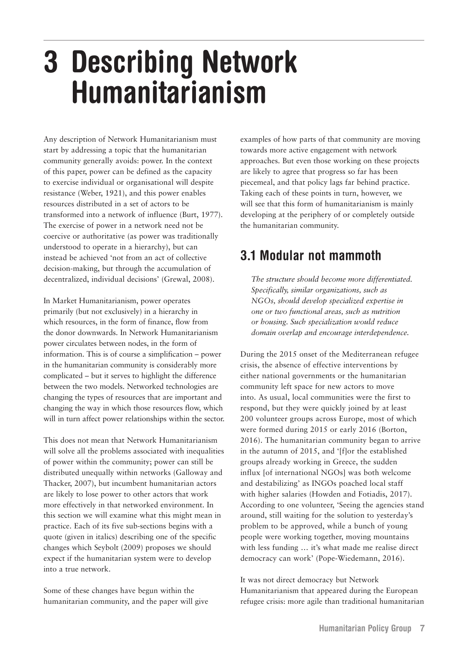### <span id="page-10-0"></span>**3 Describing Network Humanitarianism**

Any description of Network Humanitarianism must start by addressing a topic that the humanitarian community generally avoids: power. In the context of this paper, power can be defined as the capacity to exercise individual or organisational will despite resistance (Weber, 1921), and this power enables resources distributed in a set of actors to be transformed into a network of influence (Burt, 1977). The exercise of power in a network need not be coercive or authoritative (as power was traditionally understood to operate in a hierarchy), but can instead be achieved 'not from an act of collective decision-making, but through the accumulation of decentralized, individual decisions' (Grewal, 2008).

In Market Humanitarianism, power operates primarily (but not exclusively) in a hierarchy in which resources, in the form of finance, flow from the donor downwards. In Network Humanitarianism power circulates between nodes, in the form of information. This is of course a simplification – power in the humanitarian community is considerably more complicated – but it serves to highlight the difference between the two models. Networked technologies are changing the types of resources that are important and changing the way in which those resources flow, which will in turn affect power relationships within the sector.

This does not mean that Network Humanitarianism will solve all the problems associated with inequalities of power within the community; power can still be distributed unequally within networks (Galloway and Thacker, 2007), but incumbent humanitarian actors are likely to lose power to other actors that work more effectively in that networked environment. In this section we will examine what this might mean in practice. Each of its five sub-sections begins with a quote (given in italics) describing one of the specific changes which Seybolt (2009) proposes we should expect if the humanitarian system were to develop into a true network.

Some of these changes have begun within the humanitarian community, and the paper will give examples of how parts of that community are moving towards more active engagement with network approaches. But even those working on these projects are likely to agree that progress so far has been piecemeal, and that policy lags far behind practice. Taking each of these points in turn, however, we will see that this form of humanitarianism is mainly developing at the periphery of or completely outside the humanitarian community.

#### **3.1 Modular not mammoth**

*The structure should become more differentiated. Specifically, similar organizations, such as NGOs, should develop specialized expertise in one or two functional areas, such as nutrition or housing. Such specialization would reduce domain overlap and encourage interdependence.*

During the 2015 onset of the Mediterranean refugee crisis, the absence of effective interventions by either national governments or the humanitarian community left space for new actors to move into. As usual, local communities were the first to respond, but they were quickly joined by at least 200 volunteer groups across Europe, most of which were formed during 2015 or early 2016 (Borton, 2016). The humanitarian community began to arrive in the autumn of 2015, and '[f]or the established groups already working in Greece, the sudden influx [of international NGOs] was both welcome and destabilizing' as INGOs poached local staff with higher salaries (Howden and Fotiadis, 2017). According to one volunteer, 'Seeing the agencies stand around, still waiting for the solution to yesterday's problem to be approved, while a bunch of young people were working together, moving mountains with less funding … it's what made me realise direct democracy can work' (Pope-Wiedemann, 2016).

It was not direct democracy but Network Humanitarianism that appeared during the European refugee crisis: more agile than traditional humanitarian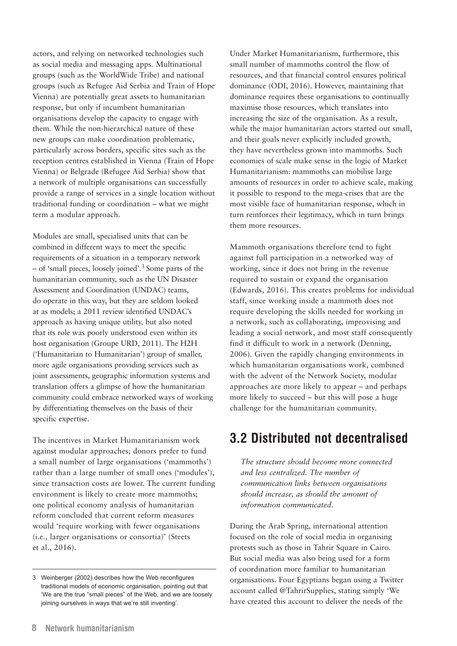<span id="page-11-0"></span>actors, and relying on networked technologies such as social media and messaging apps. Multinational groups (such as the WorldWide Tribe) and national groups (such as Refugee Aid Serbia and Train of Hope Vienna) are potentially great assets to humanitarian response, but only if incumbent humanitarian organisations develop the capacity to engage with them. While the non-hierarchical nature of these new groups can make coordination problematic, particularly across borders, specific sites such as the reception centres established in Vienna (Train of Hope Vienna) or Belgrade (Refugee Aid Serbia) show that a network of multiple organisations can successfully provide a range of services in a single location without traditional funding or coordination – what we might term a modular approach.

Modules are small, specialised units that can be combined in different ways to meet the specific requirements of a situation in a temporary network – of 'small pieces, loosely joined'.3 Some parts of the humanitarian community, such as the UN Disaster Assessment and Coordination (UNDAC) teams, do operate in this way, but they are seldom looked at as models; a 2011 review identified UNDAC's approach as having unique utility, but also noted that its role was poorly understood even within its host organisation (Groupe URD, 2011). The H2H ('Humanitarian to Humanitarian') group of smaller, more agile organisations providing services such as joint assessments, geographic information systems and translation offers a glimpse of how the humanitarian community could embrace networked ways of working by differentiating themselves on the basis of their specific expertise.

The incentives in Market Humanitarianism work against modular approaches; donors prefer to fund a small number of large organisations ('mammoths') rather than a large number of small ones ('modules'), since transaction costs are lower. The current funding environment is likely to create more mammoths; one political economy analysis of humanitarian reform concluded that current reform measures would 'require working with fewer organisations (i.e., larger organisations or consortia)' (Steets et al., 2016).

Under Market Humanitarianism, furthermore, this small number of mammoths control the flow of resources, and that financial control ensures political dominance (ODI, 2016). However, maintaining that dominance requires these organisations to continually maximise those resources, which translates into increasing the size of the organisation. As a result, while the major humanitarian actors started out small, and their goals never explicitly included growth, they have nevertheless grown into mammoths. Such economies of scale make sense in the logic of Market Humanitarianism: mammoths can mobilise large amounts of resources in order to achieve scale, making it possible to respond to the mega-crises that are the most visible face of humanitarian response, which in turn reinforces their legitimacy, which in turn brings them more resources.

Mammoth organisations therefore tend to fight against full participation in a networked way of working, since it does not bring in the revenue required to sustain or expand the organisation (Edwards, 2016). This creates problems for individual staff, since working inside a mammoth does not require developing the skills needed for working in a network, such as collaborating, improvising and leading a social network, and most staff consequently find it difficult to work in a network (Denning, 2006). Given the rapidly changing environments in which humanitarian organisations work, combined with the advent of the Network Society, modular approaches are more likely to appear – and perhaps more likely to succeed – but this will pose a huge challenge for the humanitarian community.

#### **3.2 Distributed not decentralised**

*The structure should become more connected and less centralized. The number of communication links between organisations should increase, as should the amount of information communicated.*

During the Arab Spring, international attention focused on the role of social media in organising protests such as those in Tahrir Square in Cairo. But social media was also being used for a form of coordination more familiar to humanitarian organisations. Four Egyptians began using a Twitter account called @TahrirSupplies, stating simply 'We have created this account to deliver the needs of the

<sup>3</sup> Weinberger (2002) describes how the Web reconfigures traditional models of economic organisation, pointing out that 'We are the true "small pieces" of the Web, and we are loosely joining ourselves in ways that we're still inventing'.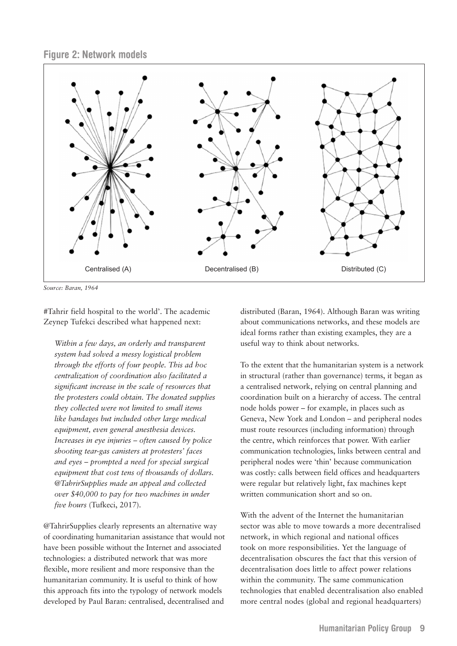**Figure 2: Network models**



*Source: Baran, 1964*

#Tahrir field hospital to the world'. The academic Zeynep Tufekci described what happened next:

*Within a few days, an orderly and transparent system had solved a messy logistical problem through the efforts of four people. This ad hoc centralization of coordination also facilitated a significant increase in the scale of resources that the protesters could obtain. The donated supplies they collected were not limited to small items like bandages but included other large medical equipment, even general anesthesia devices. Increases in eye injuries – often caused by police shooting tear-gas canisters at protesters' faces and eyes – prompted a need for special surgical equipment that cost tens of thousands of dollars. @TahrirSupplies made an appeal and collected over \$40,000 to pay for two machines in under five hours* (Tufkeci, 2017).

@TahrirSupplies clearly represents an alternative way of coordinating humanitarian assistance that would not have been possible without the Internet and associated technologies: a distributed network that was more flexible, more resilient and more responsive than the humanitarian community. It is useful to think of how this approach fits into the typology of network models developed by Paul Baran: centralised, decentralised and

distributed (Baran, 1964). Although Baran was writing about communications networks, and these models are ideal forms rather than existing examples, they are a useful way to think about networks.

To the extent that the humanitarian system is a network in structural (rather than governance) terms, it began as a centralised network, relying on central planning and coordination built on a hierarchy of access. The central node holds power – for example, in places such as Geneva, New York and London – and peripheral nodes must route resources (including information) through the centre, which reinforces that power. With earlier communication technologies, links between central and peripheral nodes were 'thin' because communication was costly: calls between field offices and headquarters were regular but relatively light, fax machines kept written communication short and so on.

With the advent of the Internet the humanitarian sector was able to move towards a more decentralised network, in which regional and national offices took on more responsibilities. Yet the language of decentralisation obscures the fact that this version of decentralisation does little to affect power relations within the community. The same communication technologies that enabled decentralisation also enabled more central nodes (global and regional headquarters)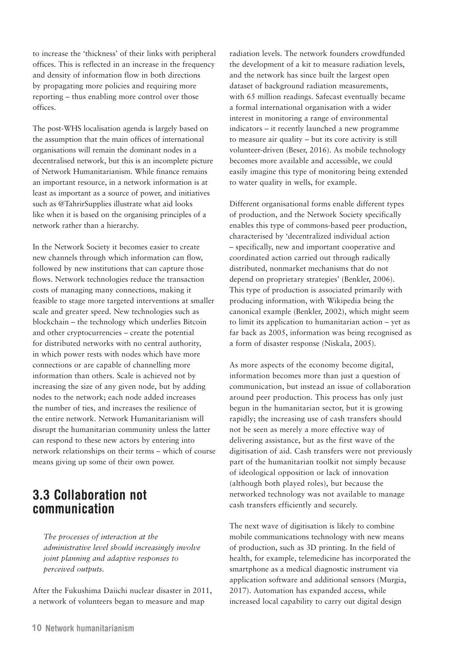<span id="page-13-0"></span>to increase the 'thickness' of their links with peripheral offices. This is reflected in an increase in the frequency and density of information flow in both directions by propagating more policies and requiring more reporting – thus enabling more control over those offices.

The post-WHS localisation agenda is largely based on the assumption that the main offices of international organisations will remain the dominant nodes in a decentralised network, but this is an incomplete picture of Network Humanitarianism. While finance remains an important resource, in a network information is at least as important as a source of power, and initiatives such as @TahrirSupplies illustrate what aid looks like when it is based on the organising principles of a network rather than a hierarchy.

In the Network Society it becomes easier to create new channels through which information can flow, followed by new institutions that can capture those flows. Network technologies reduce the transaction costs of managing many connections, making it feasible to stage more targeted interventions at smaller scale and greater speed. New technologies such as blockchain – the technology which underlies Bitcoin and other cryptocurrencies – create the potential for distributed networks with no central authority, in which power rests with nodes which have more connections or are capable of channelling more information than others. Scale is achieved not by increasing the size of any given node, but by adding nodes to the network; each node added increases the number of ties, and increases the resilience of the entire network. Network Humanitarianism will disrupt the humanitarian community unless the latter can respond to these new actors by entering into network relationships on their terms – which of course means giving up some of their own power.

#### **3.3 Collaboration not communication**

*The processes of interaction at the administrative level should increasingly involve joint planning and adaptive responses to perceived outputs.*

After the Fukushima Daiichi nuclear disaster in 2011, a network of volunteers began to measure and map

radiation levels. The network founders crowdfunded the development of a kit to measure radiation levels, and the network has since built the largest open dataset of background radiation measurements, with 65 million readings. Safecast eventually became a formal international organisation with a wider interest in monitoring a range of environmental indicators – it recently launched a new programme to measure air quality – but its core activity is still volunteer-driven (Beser, 2016). As mobile technology becomes more available and accessible, we could easily imagine this type of monitoring being extended to water quality in wells, for example.

Different organisational forms enable different types of production, and the Network Society specifically enables this type of commons-based peer production, characterised by 'decentralized individual action – specifically, new and important cooperative and coordinated action carried out through radically distributed, nonmarket mechanisms that do not depend on proprietary strategies' (Benkler, 2006). This type of production is associated primarily with producing information, with Wikipedia being the canonical example (Benkler, 2002), which might seem to limit its application to humanitarian action – yet as far back as 2005, information was being recognised as a form of disaster response (Niskala, 2005).

As more aspects of the economy become digital, information becomes more than just a question of communication, but instead an issue of collaboration around peer production. This process has only just begun in the humanitarian sector, but it is growing rapidly; the increasing use of cash transfers should not be seen as merely a more effective way of delivering assistance, but as the first wave of the digitisation of aid. Cash transfers were not previously part of the humanitarian toolkit not simply because of ideological opposition or lack of innovation (although both played roles), but because the networked technology was not available to manage cash transfers efficiently and securely.

The next wave of digitisation is likely to combine mobile communications technology with new means of production, such as 3D printing. In the field of health, for example, telemedicine has incorporated the smartphone as a medical diagnostic instrument via application software and additional sensors (Murgia, 2017). Automation has expanded access, while increased local capability to carry out digital design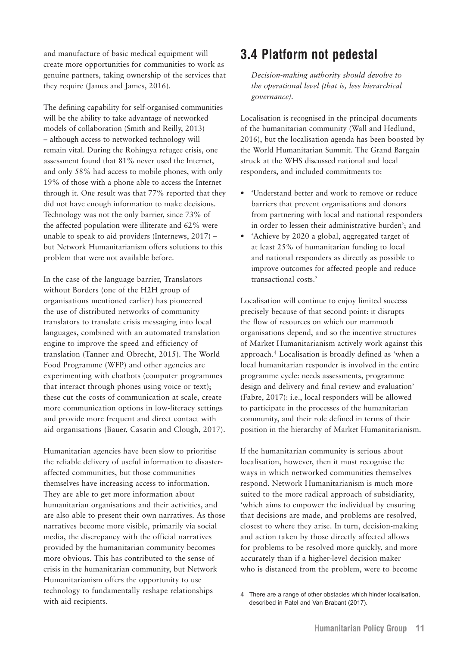<span id="page-14-0"></span>and manufacture of basic medical equipment will create more opportunities for communities to work as genuine partners, taking ownership of the services that they require (James and James, 2016).

The defining capability for self-organised communities will be the ability to take advantage of networked models of collaboration (Smith and Reilly, 2013) – although access to networked technology will remain vital. During the Rohingya refugee crisis, one assessment found that 81% never used the Internet, and only 58% had access to mobile phones, with only 19% of those with a phone able to access the Internet through it. One result was that 77% reported that they did not have enough information to make decisions. Technology was not the only barrier, since 73% of the affected population were illiterate and 62% were unable to speak to aid providers (Internews, 2017) – but Network Humanitarianism offers solutions to this problem that were not available before.

In the case of the language barrier, Translators without Borders (one of the H2H group of organisations mentioned earlier) has pioneered the use of distributed networks of community translators to translate crisis messaging into local languages, combined with an automated translation engine to improve the speed and efficiency of translation (Tanner and Obrecht, 2015). The World Food Programme (WFP) and other agencies are experimenting with chatbots (computer programmes that interact through phones using voice or text); these cut the costs of communication at scale, create more communication options in low-literacy settings and provide more frequent and direct contact with aid organisations (Bauer, Casarin and Clough, 2017).

Humanitarian agencies have been slow to prioritise the reliable delivery of useful information to disasteraffected communities, but those communities themselves have increasing access to information. They are able to get more information about humanitarian organisations and their activities, and are also able to present their own narratives. As those narratives become more visible, primarily via social media, the discrepancy with the official narratives provided by the humanitarian community becomes more obvious. This has contributed to the sense of crisis in the humanitarian community, but Network Humanitarianism offers the opportunity to use technology to fundamentally reshape relationships with aid recipients.

#### **3.4 Platform not pedestal**

*Decision-making authority should devolve to the operational level (that is, less hierarchical governance).*

Localisation is recognised in the principal documents of the humanitarian community (Wall and Hedlund, 2016), but the localisation agenda has been boosted by the World Humanitarian Summit. The Grand Bargain struck at the WHS discussed national and local responders, and included commitments to:

- 'Understand better and work to remove or reduce barriers that prevent organisations and donors from partnering with local and national responders in order to lessen their administrative burden'; and
- 'Achieve by 2020 a global, aggregated target of at least 25% of humanitarian funding to local and national responders as directly as possible to improve outcomes for affected people and reduce transactional costs.'

Localisation will continue to enjoy limited success precisely because of that second point: it disrupts the flow of resources on which our mammoth organisations depend, and so the incentive structures of Market Humanitarianism actively work against this approach.4 Localisation is broadly defined as 'when a local humanitarian responder is involved in the entire programme cycle: needs assessments, programme design and delivery and final review and evaluation' (Fabre, 2017): i.e., local responders will be allowed to participate in the processes of the humanitarian community, and their role defined in terms of their position in the hierarchy of Market Humanitarianism.

If the humanitarian community is serious about localisation, however, then it must recognise the ways in which networked communities themselves respond. Network Humanitarianism is much more suited to the more radical approach of subsidiarity, 'which aims to empower the individual by ensuring that decisions are made, and problems are resolved, closest to where they arise. In turn, decision-making and action taken by those directly affected allows for problems to be resolved more quickly, and more accurately than if a higher-level decision maker who is distanced from the problem, were to become

<sup>4</sup> There are a range of other obstacles which hinder localisation, described in Patel and Van Brabant (2017).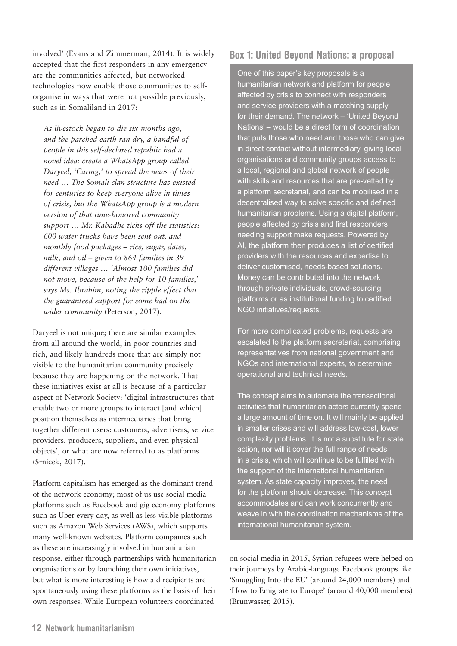involved' (Evans and Zimmerman, 2014). It is widely accepted that the first responders in any emergency are the communities affected, but networked technologies now enable those communities to selforganise in ways that were not possible previously, such as in Somaliland in 2017:

*As livestock began to die six months ago, and the parched earth ran dry, a handful of people in this self-declared republic had a novel idea: create a WhatsApp group called Daryeel, 'Caring,' to spread the news of their need … The Somali clan structure has existed for centuries to keep everyone alive in times of crisis, but the WhatsApp group is a modern version of that time-honored community support … Mr. Kabadhe ticks off the statistics: 600 water trucks have been sent out, and monthly food packages – rice, sugar, dates, milk, and oil – given to 864 families in 39 different villages … 'Almost 100 families did not move, because of the help for 10 families,' says Ms. Ibrahim, noting the ripple effect that the guaranteed support for some had on the wider community* (Peterson, 2017).

Daryeel is not unique; there are similar examples from all around the world, in poor countries and rich, and likely hundreds more that are simply not visible to the humanitarian community precisely because they are happening on the network. That these initiatives exist at all is because of a particular aspect of Network Society: 'digital infrastructures that enable two or more groups to interact [and which] position themselves as intermediaries that bring together different users: customers, advertisers, service providers, producers, suppliers, and even physical objects', or what are now referred to as platforms (Srnicek, 2017).

Platform capitalism has emerged as the dominant trend of the network economy; most of us use social media platforms such as Facebook and gig economy platforms such as Uber every day, as well as less visible platforms such as Amazon Web Services (AWS), which supports many well-known websites. Platform companies such as these are increasingly involved in humanitarian response, either through partnerships with humanitarian organisations or by launching their own initiatives, but what is more interesting is how aid recipients are spontaneously using these platforms as the basis of their own responses. While European volunteers coordinated

#### **Box 1: United Beyond Nations: a proposal**

One of this paper's key proposals is a humanitarian network and platform for people affected by crisis to connect with responders and service providers with a matching supply for their demand. The network – 'United Beyond Nations' – would be a direct form of coordination that puts those who need and those who can give in direct contact without intermediary, giving local organisations and community groups access to a local, regional and global network of people with skills and resources that are pre-vetted by a platform secretariat, and can be mobilised in a decentralised way to solve specific and defined humanitarian problems. Using a digital platform, people affected by crisis and first responders needing support make requests. Powered by AI, the platform then produces a list of certified providers with the resources and expertise to deliver customised, needs-based solutions. Money can be contributed into the network through private individuals, crowd-sourcing platforms or as institutional funding to certified NGO initiatives/requests.

For more complicated problems, requests are escalated to the platform secretariat, comprising representatives from national government and NGOs and international experts, to determine operational and technical needs.

The concept aims to automate the transactional activities that humanitarian actors currently spend a large amount of time on. It will mainly be applied in smaller crises and will address low-cost, lower complexity problems. It is not a substitute for state action, nor will it cover the full range of needs in a crisis, which will continue to be fulfilled with the support of the international humanitarian system. As state capacity improves, the need for the platform should decrease. This concept accommodates and can work concurrently and weave in with the coordination mechanisms of the international humanitarian system.

on social media in 2015, Syrian refugees were helped on their journeys by Arabic-language Facebook groups like 'Smuggling Into the EU' (around 24,000 members) and 'How to Emigrate to Europe' (around 40,000 members) (Brunwasser, 2015).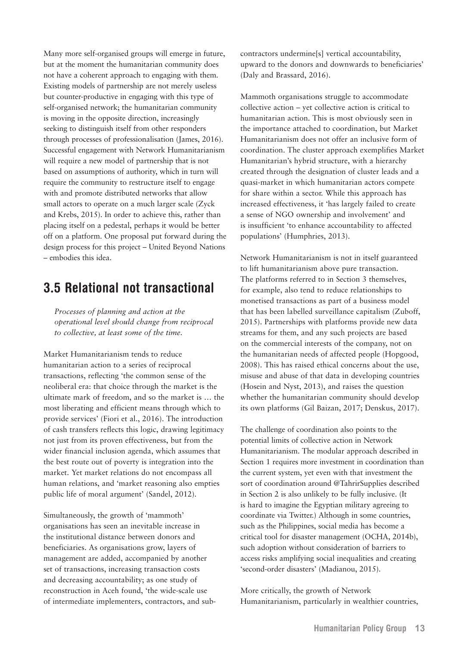<span id="page-16-0"></span>Many more self-organised groups will emerge in future, but at the moment the humanitarian community does not have a coherent approach to engaging with them. Existing models of partnership are not merely useless but counter-productive in engaging with this type of self-organised network; the humanitarian community is moving in the opposite direction, increasingly seeking to distinguish itself from other responders through processes of professionalisation (James, 2016). Successful engagement with Network Humanitarianism will require a new model of partnership that is not based on assumptions of authority, which in turn will require the community to restructure itself to engage with and promote distributed networks that allow small actors to operate on a much larger scale (Zyck and Krebs, 2015). In order to achieve this, rather than placing itself on a pedestal, perhaps it would be better off on a platform. One proposal put forward during the design process for this project – United Beyond Nations – embodies this idea.

#### **3.5 Relational not transactional**

*Processes of planning and action at the operational level should change from reciprocal to collective, at least some of the time.*

Market Humanitarianism tends to reduce humanitarian action to a series of reciprocal transactions, reflecting 'the common sense of the neoliberal era: that choice through the market is the ultimate mark of freedom, and so the market is … the most liberating and efficient means through which to provide services' (Fiori et al., 2016). The introduction of cash transfers reflects this logic, drawing legitimacy not just from its proven effectiveness, but from the wider financial inclusion agenda, which assumes that the best route out of poverty is integration into the market. Yet market relations do not encompass all human relations, and 'market reasoning also empties public life of moral argument' (Sandel, 2012).

Simultaneously, the growth of 'mammoth' organisations has seen an inevitable increase in the institutional distance between donors and beneficiaries. As organisations grow, layers of management are added, accompanied by another set of transactions, increasing transaction costs and decreasing accountability; as one study of reconstruction in Aceh found, 'the wide-scale use of intermediate implementers, contractors, and subcontractors undermine[s] vertical accountability, upward to the donors and downwards to beneficiaries' (Daly and Brassard, 2016).

Mammoth organisations struggle to accommodate collective action – yet collective action is critical to humanitarian action. This is most obviously seen in the importance attached to coordination, but Market Humanitarianism does not offer an inclusive form of coordination. The cluster approach exemplifies Market Humanitarian's hybrid structure, with a hierarchy created through the designation of cluster leads and a quasi-market in which humanitarian actors compete for share within a sector. While this approach has increased effectiveness, it 'has largely failed to create a sense of NGO ownership and involvement' and is insufficient 'to enhance accountability to affected populations' (Humphries, 2013).

Network Humanitarianism is not in itself guaranteed to lift humanitarianism above pure transaction. The platforms referred to in Section 3 themselves, for example, also tend to reduce relationships to monetised transactions as part of a business model that has been labelled surveillance capitalism (Zuboff, 2015). Partnerships with platforms provide new data streams for them, and any such projects are based on the commercial interests of the company, not on the humanitarian needs of affected people (Hopgood, 2008). This has raised ethical concerns about the use, misuse and abuse of that data in developing countries (Hosein and Nyst, 2013), and raises the question whether the humanitarian community should develop its own platforms (Gil Baizan, 2017; Denskus, 2017).

The challenge of coordination also points to the potential limits of collective action in Network Humanitarianism. The modular approach described in Section 1 requires more investment in coordination than the current system, yet even with that investment the sort of coordination around @TahrirSupplies described in Section 2 is also unlikely to be fully inclusive. (It is hard to imagine the Egyptian military agreeing to coordinate via Twitter.) Although in some countries, such as the Philippines, social media has become a critical tool for disaster management (OCHA, 2014b), such adoption without consideration of barriers to access risks amplifying social inequalities and creating 'second-order disasters' (Madianou, 2015).

More critically, the growth of Network Humanitarianism, particularly in wealthier countries,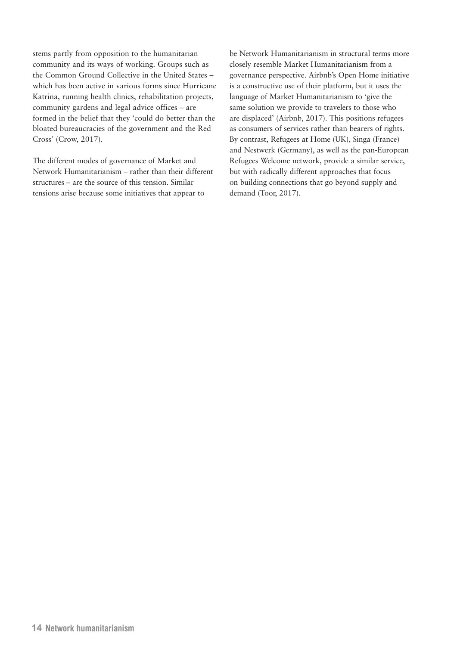stems partly from opposition to the humanitarian community and its ways of working. Groups such as the Common Ground Collective in the United States – which has been active in various forms since Hurricane Katrina, running health clinics, rehabilitation projects, community gardens and legal advice offices – are formed in the belief that they 'could do better than the bloated bureaucracies of the government and the Red Cross' (Crow, 2017).

The different modes of governance of Market and Network Humanitarianism – rather than their different structures – are the source of this tension. Similar tensions arise because some initiatives that appear to

be Network Humanitarianism in structural terms more closely resemble Market Humanitarianism from a governance perspective. Airbnb's Open Home initiative is a constructive use of their platform, but it uses the language of Market Humanitarianism to 'give the same solution we provide to travelers to those who are displaced' (Airbnb, 2017). This positions refugees as consumers of services rather than bearers of rights. By contrast, Refugees at Home (UK), Singa (France) and Nestwerk (Germany), as well as the pan-European Refugees Welcome network, provide a similar service, but with radically different approaches that focus on building connections that go beyond supply and demand (Toor, 2017).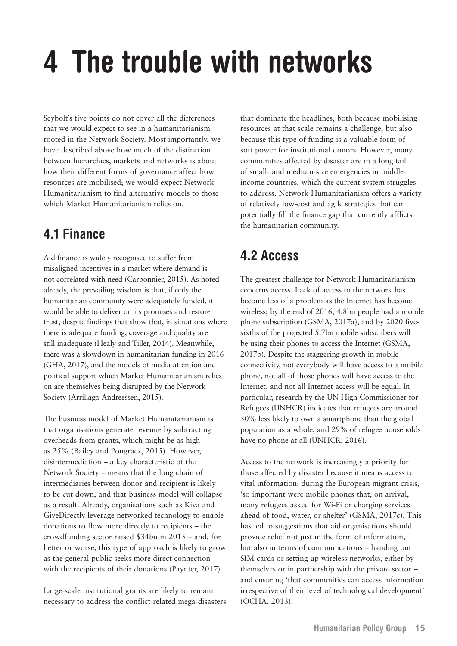# <span id="page-18-0"></span>**4 The trouble with networks**

Seybolt's five points do not cover all the differences that we would expect to see in a humanitarianism rooted in the Network Society. Most importantly, we have described above how much of the distinction between hierarchies, markets and networks is about how their different forms of governance affect how resources are mobilised; we would expect Network Humanitarianism to find alternative models to those which Market Humanitarianism relies on.

#### **4.1 Finance**

Aid finance is widely recognised to suffer from misaligned incentives in a market where demand is not correlated with need (Carbonnier, 2015). As noted already, the prevailing wisdom is that, if only the humanitarian community were adequately funded, it would be able to deliver on its promises and restore trust, despite findings that show that, in situations where there is adequate funding, coverage and quality are still inadequate (Healy and Tiller, 2014). Meanwhile, there was a slowdown in humanitarian funding in 2016 (GHA, 2017), and the models of media attention and political support which Market Humanitarianism relies on are themselves being disrupted by the Network Society (Arrillaga-Andreessen, 2015).

The business model of Market Humanitarianism is that organisations generate revenue by subtracting overheads from grants, which might be as high as 25% (Bailey and Pongracz, 2015). However, disintermediation – a key characteristic of the Network Society – means that the long chain of intermediaries between donor and recipient is likely to be cut down, and that business model will collapse as a result. Already, organisations such as Kiva and GiveDirectly leverage networked technology to enable donations to flow more directly to recipients – the crowdfunding sector raised \$34bn in 2015 – and, for better or worse, this type of approach is likely to grow as the general public seeks more direct connection with the recipients of their donations (Paynter, 2017).

Large-scale institutional grants are likely to remain necessary to address the conflict-related mega-disasters

that dominate the headlines, both because mobilising resources at that scale remains a challenge, but also because this type of funding is a valuable form of soft power for institutional donors. However, many communities affected by disaster are in a long tail of small- and medium-size emergencies in middleincome countries, which the current system struggles to address. Network Humanitarianism offers a variety of relatively low-cost and agile strategies that can potentially fill the finance gap that currently afflicts the humanitarian community.

#### **4.2 Access**

The greatest challenge for Network Humanitarianism concerns access. Lack of access to the network has become less of a problem as the Internet has become wireless; by the end of 2016, 4.8bn people had a mobile phone subscription (GSMA, 2017a), and by 2020 fivesixths of the projected 5.7bn mobile subscribers will be using their phones to access the Internet (GSMA, 2017b). Despite the staggering growth in mobile connectivity, not everybody will have access to a mobile phone, not all of those phones will have access to the Internet, and not all Internet access will be equal. In particular, research by the UN High Commissioner for Refugees (UNHCR) indicates that refugees are around 50% less likely to own a smartphone than the global population as a whole, and 29% of refugee households have no phone at all (UNHCR, 2016).

Access to the network is increasingly a priority for those affected by disaster because it means access to vital information: during the European migrant crisis, 'so important were mobile phones that, on arrival, many refugees asked for Wi-Fi or charging services ahead of food, water, or shelter' (GSMA, 2017c). This has led to suggestions that aid organisations should provide relief not just in the form of information, but also in terms of communications – handing out SIM cards or setting up wireless networks, either by themselves or in partnership with the private sector – and ensuring 'that communities can access information irrespective of their level of technological development' (OCHA, 2013).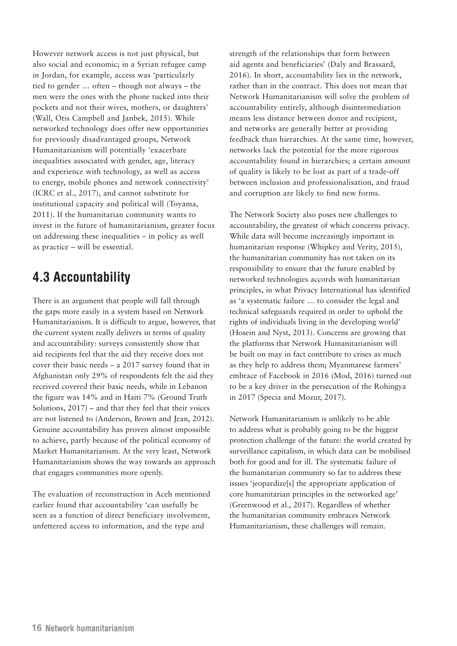<span id="page-19-0"></span>However network access is not just physical, but also social and economic; in a Syrian refugee camp in Jordan, for example, access was 'particularly tied to gender … often – though not always – the men were the ones with the phone tucked into their pockets and not their wives, mothers, or daughters' (Wall, Otis Campbell and Janbek, 2015). While networked technology does offer new opportunities for previously disadvantaged groups, Network Humanitarianism will potentially 'exacerbate inequalities associated with gender, age, literacy and experience with technology, as well as access to energy, mobile phones and network connectivity' (ICRC et al., 2017), and cannot substitute for institutional capacity and political will (Toyama, 2011). If the humanitarian community wants to invest in the future of humanitarianism, greater focus on addressing these inequalities – in policy as well as practice – will be essential.

#### **4.3 Accountability**

There is an argument that people will fall through the gaps more easily in a system based on Network Humanitarianism. It is difficult to argue, however, that the current system really delivers in terms of quality and accountability: surveys consistently show that aid recipients feel that the aid they receive does not cover their basic needs – a 2017 survey found that in Afghanistan only 29% of respondents felt the aid they received covered their basic needs, while in Lebanon the figure was 14% and in Haiti 7% (Ground Truth Solutions, 2017) – and that they feel that their voices are not listened to (Anderson, Brown and Jean, 2012). Genuine accountability has proven almost impossible to achieve, partly because of the political economy of Market Humanitarianism. At the very least, Network Humanitarianism shows the way towards an approach that engages communities more openly.

The evaluation of reconstruction in Aceh mentioned earlier found that accountability 'can usefully be seen as a function of direct beneficiary involvement, unfettered access to information, and the type and

strength of the relationships that form between aid agents and beneficiaries' (Daly and Brassard, 2016). In short, accountability lies in the network, rather than in the contract. This does not mean that Network Humanitarianism will solve the problem of accountability entirely, although disintermediation means less distance between donor and recipient, and networks are generally better at providing feedback than hierarchies. At the same time, however, networks lack the potential for the more rigorous accountability found in hierarchies; a certain amount of quality is likely to be lost as part of a trade-off between inclusion and professionalisation, and fraud and corruption are likely to find new forms.

The Network Society also poses new challenges to accountability, the greatest of which concerns privacy. While data will become increasingly important in humanitarian response (Whipkey and Verity, 2015), the humanitarian community has not taken on its responsibility to ensure that the future enabled by networked technologies accords with humanitarian principles, in what Privacy International has identified as 'a systematic failure … to consider the legal and technical safeguards required in order to uphold the rights of individuals living in the developing world' (Hosein and Nyst, 2013). Concerns are growing that the platforms that Network Humanitarianism will be built on may in fact contribute to crises as much as they help to address them; Myanmarese farmers' embrace of Facebook in 2016 (Mod, 2016) turned out to be a key driver in the persecution of the Rohingya in 2017 (Specia and Mozur, 2017).

Network Humanitarianism is unlikely to be able to address what is probably going to be the biggest protection challenge of the future: the world created by surveillance capitalism, in which data can be mobilised both for good and for ill. The systematic failure of the humanitarian community so far to address these issues 'jeopardize[s] the appropriate application of core humanitarian principles in the networked age' (Greenwood et al., 2017). Regardless of whether the humanitarian community embraces Network Humanitarianism, these challenges will remain.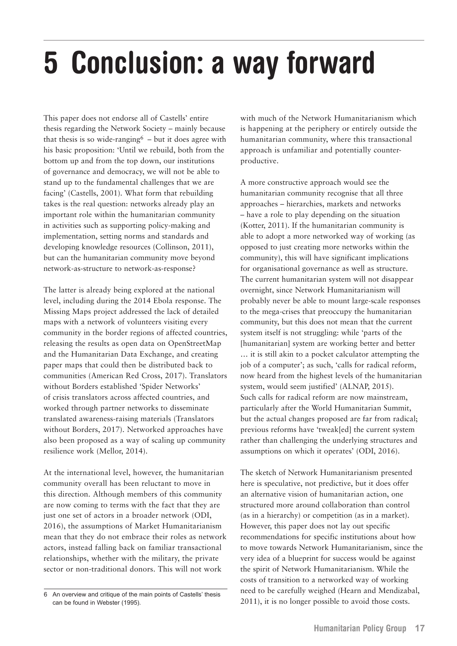# <span id="page-20-0"></span>**5 Conclusion: a way forward**

This paper does not endorse all of Castells' entire thesis regarding the Network Society – mainly because that thesis is so wide-ranging  $6$  – but it does agree with his basic proposition: 'Until we rebuild, both from the bottom up and from the top down, our institutions of governance and democracy, we will not be able to stand up to the fundamental challenges that we are facing' (Castells, 2001). What form that rebuilding takes is the real question: networks already play an important role within the humanitarian community in activities such as supporting policy-making and implementation, setting norms and standards and developing knowledge resources (Collinson, 2011), but can the humanitarian community move beyond network-as-structure to network-as-response?

The latter is already being explored at the national level, including during the 2014 Ebola response. The Missing Maps project addressed the lack of detailed maps with a network of volunteers visiting every community in the border regions of affected countries, releasing the results as open data on OpenStreetMap and the Humanitarian Data Exchange, and creating paper maps that could then be distributed back to communities (American Red Cross, 2017). Translators without Borders established 'Spider Networks' of crisis translators across affected countries, and worked through partner networks to disseminate translated awareness-raising materials (Translators without Borders, 2017). Networked approaches have also been proposed as a way of scaling up community resilience work (Mellor, 2014).

At the international level, however, the humanitarian community overall has been reluctant to move in this direction. Although members of this community are now coming to terms with the fact that they are just one set of actors in a broader network (ODI, 2016), the assumptions of Market Humanitarianism mean that they do not embrace their roles as network actors, instead falling back on familiar transactional relationships, whether with the military, the private sector or non-traditional donors. This will not work

with much of the Network Humanitarianism which is happening at the periphery or entirely outside the humanitarian community, where this transactional approach is unfamiliar and potentially counterproductive.

A more constructive approach would see the humanitarian community recognise that all three approaches – hierarchies, markets and networks – have a role to play depending on the situation (Kotter, 2011). If the humanitarian community is able to adopt a more networked way of working (as opposed to just creating more networks within the community), this will have significant implications for organisational governance as well as structure. The current humanitarian system will not disappear overnight, since Network Humanitarianism will probably never be able to mount large-scale responses to the mega-crises that preoccupy the humanitarian community, but this does not mean that the current system itself is not struggling: while 'parts of the [humanitarian] system are working better and better … it is still akin to a pocket calculator attempting the job of a computer'; as such, 'calls for radical reform, now heard from the highest levels of the humanitarian system, would seem justified' (ALNAP, 2015). Such calls for radical reform are now mainstream, particularly after the World Humanitarian Summit, but the actual changes proposed are far from radical; previous reforms have 'tweak[ed] the current system rather than challenging the underlying structures and assumptions on which it operates' (ODI, 2016).

The sketch of Network Humanitarianism presented here is speculative, not predictive, but it does offer an alternative vision of humanitarian action, one structured more around collaboration than control (as in a hierarchy) or competition (as in a market). However, this paper does not lay out specific recommendations for specific institutions about how to move towards Network Humanitarianism, since the very idea of a blueprint for success would be against the spirit of Network Humanitarianism. While the costs of transition to a networked way of working need to be carefully weighed (Hearn and Mendizabal, 2011), it is no longer possible to avoid those costs.

<sup>6</sup> An overview and critique of the main points of Castells' thesis can be found in Webster (1995).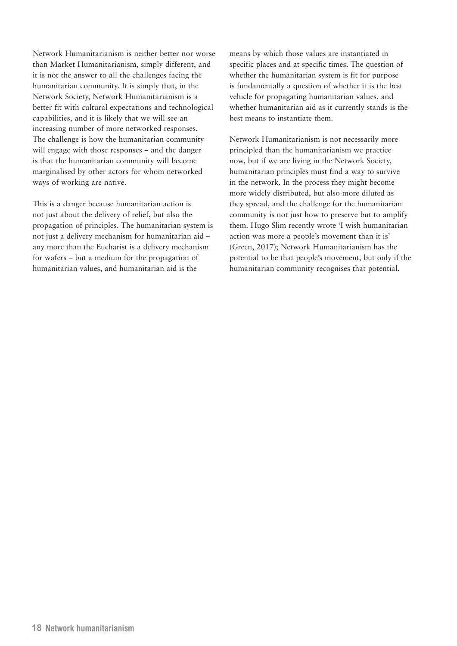Network Humanitarianism is neither better nor worse than Market Humanitarianism, simply different, and it is not the answer to all the challenges facing the humanitarian community. It is simply that, in the Network Society, Network Humanitarianism is a better fit with cultural expectations and technological capabilities, and it is likely that we will see an increasing number of more networked responses. The challenge is how the humanitarian community will engage with those responses – and the danger is that the humanitarian community will become marginalised by other actors for whom networked ways of working are native.

This is a danger because humanitarian action is not just about the delivery of relief, but also the propagation of principles. The humanitarian system is not just a delivery mechanism for humanitarian aid – any more than the Eucharist is a delivery mechanism for wafers – but a medium for the propagation of humanitarian values, and humanitarian aid is the

means by which those values are instantiated in specific places and at specific times. The question of whether the humanitarian system is fit for purpose is fundamentally a question of whether it is the best vehicle for propagating humanitarian values, and whether humanitarian aid as it currently stands is the best means to instantiate them.

Network Humanitarianism is not necessarily more principled than the humanitarianism we practice now, but if we are living in the Network Society, humanitarian principles must find a way to survive in the network. In the process they might become more widely distributed, but also more diluted as they spread, and the challenge for the humanitarian community is not just how to preserve but to amplify them. Hugo Slim recently wrote 'I wish humanitarian action was more a people's movement than it is' (Green, 2017); Network Humanitarianism has the potential to be that people's movement, but only if the humanitarian community recognises that potential.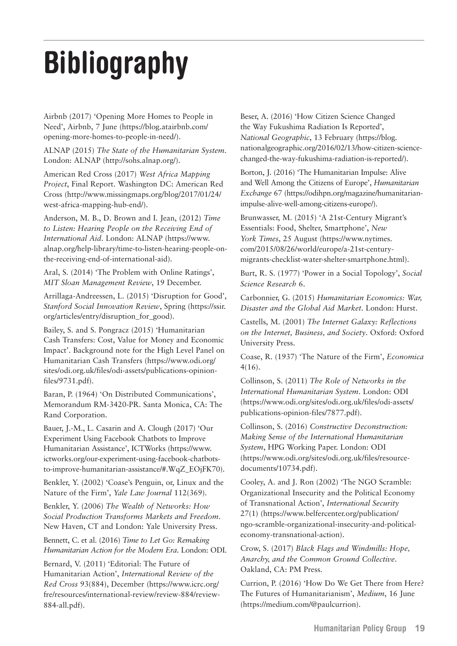# <span id="page-22-0"></span>**Bibliography**

Airbnb (2017) 'Opening More Homes to People in Need', Airbnb, 7 June ([https://blog.atairbnb.com/](https://blog.atairbnb.com/opening-more-homes-to-people-in-need/) [opening-more-homes-to-people-in-need/](https://blog.atairbnb.com/opening-more-homes-to-people-in-need/)).

ALNAP (2015) *The State of the Humanitarian System*. London: ALNAP [\(http://sohs.alnap.org](http://sohs.alnap.org)/).

American Red Cross (2017) *West Africa Mapping Project*, Final Report. Washington DC: American Red Cross ([http://www.missingmaps.org/blog/2017/01/24/](http://www.missingmaps.org/blog/2017/01/24/west-africa-mapping-hub-end/) [west-africa-mapping-hub-end/\)](http://www.missingmaps.org/blog/2017/01/24/west-africa-mapping-hub-end/).

Anderson, M. B., D. Brown and I. Jean, (2012) *Time to Listen: Hearing People on the Receiving End of International Aid*. London: ALNAP [\(https://www.](https://www.alnap.org/help-library/time-to-listen-hearing-people-on-the-receiving-end-of-international-aid) [alnap.org/help-library/time-to-listen-hearing-people-on](https://www.alnap.org/help-library/time-to-listen-hearing-people-on-the-receiving-end-of-international-aid)[the-receiving-end-of-international-aid](https://www.alnap.org/help-library/time-to-listen-hearing-people-on-the-receiving-end-of-international-aid)).

Aral, S. (2014) 'The Problem with Online Ratings', *MIT Sloan Management Review*, 19 December.

Arrillaga-Andreessen, L. (2015) 'Disruption for Good', *Stanford Social Innovation Review*, Spring [\(https://ssir.](https://ssir.org/articles/entry/disruption_for_good) [org/articles/entry/disruption\\_for\\_good](https://ssir.org/articles/entry/disruption_for_good)).

Bailey, S. and S. Pongracz (2015) 'Humanitarian Cash Transfers: Cost, Value for Money and Economic Impact'. Background note for the High Level Panel on Humanitarian Cash Transfers ([https://www.odi.org/](https://www.odi.org/sites/odi.org.uk/files/odi-assets/publications-opinion-files/9731.pdf) [sites/odi.org.uk/files/odi-assets/publications-opinion](https://www.odi.org/sites/odi.org.uk/files/odi-assets/publications-opinion-files/9731.pdf)[files/9731.pdf](https://www.odi.org/sites/odi.org.uk/files/odi-assets/publications-opinion-files/9731.pdf)).

Baran, P. (1964) 'On Distributed Communications', Memorandum RM-3420-PR. Santa Monica, CA: The Rand Corporation.

Bauer, J.-M., L. Casarin and A. Clough (2017) 'Our Experiment Using Facebook Chatbots to Improve Humanitarian Assistance', ICTWorks [\(https://www.](https://www.ictworks.org/our-experiment-using-facebook-chatbots-to-improve-humanitarian-assistance/%23.WqZ_EOjFK70) [ictworks.org/our-experiment-using-facebook-chatbots](https://www.ictworks.org/our-experiment-using-facebook-chatbots-to-improve-humanitarian-assistance/%23.WqZ_EOjFK70)[to-improve-humanitarian-assistance/#.WqZ\\_EOjFK70\)](https://www.ictworks.org/our-experiment-using-facebook-chatbots-to-improve-humanitarian-assistance/%23.WqZ_EOjFK70).

Benkler, Y. (2002) 'Coase's Penguin, or, Linux and the Nature of the Firm', *Yale Law Journal* 112(369).

Benkler, Y. (2006) *The Wealth of Networks: How Social Production Transforms Markets and Freedom*. New Haven, CT and London: Yale University Press.

Bennett, C. et al. (2016) *Time to Let Go: Remaking Humanitarian Action for the Modern Era*. London: ODI.

Bernard, V. (2011) 'Editorial: The Future of Humanitarian Action', *International Review of the Red Cross* 93(884), December [\(https://www.icrc.org/](https://www.icrc.org/fre/resources/international-review/review-884/review-884-all.pdf) [fre/resources/international-review/review-884/review-](https://www.icrc.org/fre/resources/international-review/review-884/review-884-all.pdf)[884-all.pdf](https://www.icrc.org/fre/resources/international-review/review-884/review-884-all.pdf)).

Beser, A. (2016) 'How Citizen Science Changed the Way Fukushima Radiation Is Reported', *National Geographic*, 13 February [\(https://blog.](https://blog.nationalgeographic.org/2016/02/13/how-citizen-science-changed-the-way-fukushima-radiation-is-reported/) [nationalgeographic.org/2016/02/13/how-citizen-science](https://blog.nationalgeographic.org/2016/02/13/how-citizen-science-changed-the-way-fukushima-radiation-is-reported/)[changed-the-way-fukushima-radiation-is-reported/](https://blog.nationalgeographic.org/2016/02/13/how-citizen-science-changed-the-way-fukushima-radiation-is-reported/)).

Borton, J. (2016) 'The Humanitarian Impulse: Alive and Well Among the Citizens of Europe', *Humanitarian Exchange* 67 [\(https://odihpn.org/magazine/humanitarian](https://odihpn.org/magazine/humanitarian-impulse-alive-well-among-citizens-europe/)[impulse-alive-well-among-citizens-europe/](https://odihpn.org/magazine/humanitarian-impulse-alive-well-among-citizens-europe/)).

Brunwasser, M. (2015) 'A 21st-Century Migrant's Essentials: Food, Shelter, Smartphone', *New York Times*, 25 August ([https://www.nytimes.](https://www.nytimes.com/2015/08/26/world/europe/a-21st-century-migrants-checklist-water-shelter-smartphone.html) [com/2015/08/26/world/europe/a-21st-century](https://www.nytimes.com/2015/08/26/world/europe/a-21st-century-migrants-checklist-water-shelter-smartphone.html)[migrants-checklist-water-shelter-smartphone.html](https://www.nytimes.com/2015/08/26/world/europe/a-21st-century-migrants-checklist-water-shelter-smartphone.html)).

Burt, R. S. (1977) 'Power in a Social Topology', *Social Science Research* 6.

Carbonnier, G. (2015) *Humanitarian Economics: War, Disaster and the Global Aid Market*. London: Hurst.

Castells, M. (2001) *The Internet Galaxy: Reflections on the Internet, Business, and Society*. Oxford: Oxford University Press.

Coase, R. (1937) 'The Nature of the Firm', *Economica* 4(16).

Collinson, S. (2011) *The Role of Networks in the International Humanitarian System*. London: ODI ([https://www.odi.org/sites/odi.org.uk/files/odi-assets/](https://www.odi.org/sites/odi.org.uk/files/odi-assets/publications-opinion-files/7877.pdf) [publications-opinion-files/7877.pdf\)](https://www.odi.org/sites/odi.org.uk/files/odi-assets/publications-opinion-files/7877.pdf).

Collinson, S. (2016) *Constructive Deconstruction: Making Sense of the International Humanitarian System*, HPG Working Paper. London: ODI ([https://www.odi.org/sites/odi.org.uk/files/resource](https://www.odi.org/sites/odi.org.uk/files/resource-documents/10734.pdf)[documents/10734.pdf\)](https://www.odi.org/sites/odi.org.uk/files/resource-documents/10734.pdf).

Cooley, A. and J. Ron (2002) 'The NGO Scramble: Organizational Insecurity and the Political Economy of Transnational Action', *International Security* 27(1) ([https://www.belfercenter.org/publication/](https://www.belfercenter.org/publication/ngo-scramble-organizational-insecurity-and-political-economy-transnational-action) [ngo-scramble-organizational-insecurity-and-political](https://www.belfercenter.org/publication/ngo-scramble-organizational-insecurity-and-political-economy-transnational-action)[economy-transnational-action\)](https://www.belfercenter.org/publication/ngo-scramble-organizational-insecurity-and-political-economy-transnational-action).

Crow, S. (2017) *Black Flags and Windmills: Hope, Anarchy, and the Common Ground Collective*. Oakland, CA: PM Press.

Currion, P. (2016) 'How Do We Get There from Here? The Futures of Humanitarianism', *Medium*, 16 June (<https://medium.com/@paulcurrion>).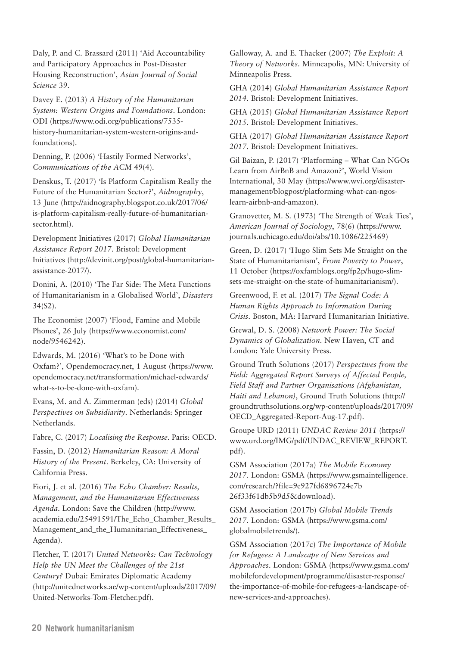Daly, P. and C. Brassard (2011) 'Aid Accountability and Participatory Approaches in Post-Disaster Housing Reconstruction', *Asian Journal of Social Science* 39.

Davey E. (2013) *A History of the Humanitarian System: Western Origins and Foundations*. London: ODI [\(https://www.odi.org/publications/7535](https://www.odi.org/publications/7535-history-humanitarian-system-western-origins-and-foundations) [history-humanitarian-system-western-origins-and](https://www.odi.org/publications/7535-history-humanitarian-system-western-origins-and-foundations)[foundations](https://www.odi.org/publications/7535-history-humanitarian-system-western-origins-and-foundations)).

Denning, P. (2006) 'Hastily Formed Networks', *Communications of the ACM* 49(4).

Denskus, T. (2017) 'Is Platform Capitalism Really the Future of the Humanitarian Sector?', *Aidnography*, 13 June ([http://aidnography.blogspot.co.uk/2017/06/](http://aidnography.blogspot.co.uk/2017/06/is-platform-capitalism-really-future-of-humanitarian-sector.html) [is-platform-capitalism-really-future-of-humanitarian](http://aidnography.blogspot.co.uk/2017/06/is-platform-capitalism-really-future-of-humanitarian-sector.html)[sector.html\)](http://aidnography.blogspot.co.uk/2017/06/is-platform-capitalism-really-future-of-humanitarian-sector.html).

Development Initiatives (2017) *Global Humanitarian Assistance Report 2017*. Bristol: Development Initiatives [\(http://devinit.org/post/global-humanitarian](http://devinit.org/post/global-humanitarian-assistance-2017/)[assistance-2017/](http://devinit.org/post/global-humanitarian-assistance-2017/)).

Donini, A. (2010) 'The Far Side: The Meta Functions of Humanitarianism in a Globalised World', *Disasters* 34(S2).

The Economist (2007) 'Flood, Famine and Mobile Phones', 26 July ([https://www.economist.com/](https://www.economist.com/node/9546242) [node/9546242](https://www.economist.com/node/9546242)).

Edwards, M. (2016) 'What's to be Done with Oxfam?', Opendemocracy.net, 1 August [\(https://www.](https://www.opendemocracy.net/transformation/michael-edwards/what-s-to-be-done-with-oxfam) [opendemocracy.net/transformation/michael-edwards/](https://www.opendemocracy.net/transformation/michael-edwards/what-s-to-be-done-with-oxfam) [what-s-to-be-done-with-oxfam](https://www.opendemocracy.net/transformation/michael-edwards/what-s-to-be-done-with-oxfam)).

Evans, M. and A. Zimmerman (eds) (2014) *Global Perspectives on Subsidiarity*. Netherlands: Springer Netherlands.

Fabre, C. (2017) *Localising the Response*. Paris: OECD.

Fassin, D. (2012) *Humanitarian Reason: A Moral History of the Present*. Berkeley, CA: University of California Press.

Fiori, J. et al. (2016) *The Echo Chamber: Results, Management, and the Humanitarian Effectiveness Agenda*. London: Save the Children ([http://www.](http://www.academia.edu/25491591/The_Echo_Chamber_Results_Management_and_the_Humanitarian_Effectiveness_Agenda) [academia.edu/25491591/The\\_Echo\\_Chamber\\_Results\\_](http://www.academia.edu/25491591/The_Echo_Chamber_Results_Management_and_the_Humanitarian_Effectiveness_Agenda) Management and the Humanitarian Effectiveness [Agenda](http://www.academia.edu/25491591/The_Echo_Chamber_Results_Management_and_the_Humanitarian_Effectiveness_Agenda)).

Fletcher, T. (2017) *United Networks: Can Technology Help the UN Meet the Challenges of the 21st Century?* Dubai: Emirates Diplomatic Academy ([http://unitednetworks.ae/wp-content/uploads/2017/09/](http://unitednetworks.ae/wp-content/uploads/2017/09/United-Networks-Tom-Fletcher.pdf) [United-Networks-Tom-Fletcher.pdf](http://unitednetworks.ae/wp-content/uploads/2017/09/United-Networks-Tom-Fletcher.pdf)).

Galloway, A. and E. Thacker (2007) *The Exploit: A Theory of Networks*. Minneapolis, MN: University of Minneapolis Press.

GHA (2014) *Global Humanitarian Assistance Report 2014*. Bristol: Development Initiatives.

GHA (2015) *Global Humanitarian Assistance Report 2015*. Bristol: Development Initiatives.

GHA (2017) *Global Humanitarian Assistance Report 2017*. Bristol: Development Initiatives.

Gil Baizan, P. (2017) 'Platforming – What Can NGOs Learn from AirBnB and Amazon?', World Vision International, 30 May ([https://www.wvi.org/disaster](https://www.wvi.org/disaster-management/blogpost/platforming-what-can-ngos-learn-airbnb-and-amazon)[management/blogpost/platforming-what-can-ngos](https://www.wvi.org/disaster-management/blogpost/platforming-what-can-ngos-learn-airbnb-and-amazon)[learn-airbnb-and-amazon](https://www.wvi.org/disaster-management/blogpost/platforming-what-can-ngos-learn-airbnb-and-amazon)).

Granovetter, M. S. (1973) 'The Strength of Weak Ties', *American Journal of Sociology*, 78(6) [\(https://www.](https://www.journals.uchicago.edu/doi/abs/10.1086/225469) [journals.uchicago.edu/doi/abs/10.1086/225469\)](https://www.journals.uchicago.edu/doi/abs/10.1086/225469)

Green, D. (2017) 'Hugo Slim Sets Me Straight on the State of Humanitarianism', *From Poverty to Power*, 11 October [\(https://oxfamblogs.org/fp2p/hugo-slim](https://oxfamblogs.org/fp2p/hugo-slim-sets-me-straight-on-the-state-of-humanitarianism/)[sets-me-straight-on-the-state-of-humanitarianism/\)](https://oxfamblogs.org/fp2p/hugo-slim-sets-me-straight-on-the-state-of-humanitarianism/).

Greenwood, F. et al. (2017) *The Signal Code: A Human Rights Approach to Information During Crisis*. Boston, MA: Harvard Humanitarian Initiative.

Grewal, D. S. (2008) *Network Power: The Social Dynamics of Globalization*. New Haven, CT and London: Yale University Press.

Ground Truth Solutions (2017) *Perspectives from the Field: Aggregated Report Surveys of Affected People, Field Staff and Partner Organisations (Afghanistan, Haiti and Lebanon)*, Ground Truth Solutions ([http://](http://groundtruthsolutions.org/wp-content/uploads/2017/09/OECD_Aggregated-Report-Aug-17.pdf) [groundtruthsolutions.org/wp-content/uploads/2017/09/](http://groundtruthsolutions.org/wp-content/uploads/2017/09/OECD_Aggregated-Report-Aug-17.pdf) [OECD\\_Aggregated-Report-Aug-17.pdf](http://groundtruthsolutions.org/wp-content/uploads/2017/09/OECD_Aggregated-Report-Aug-17.pdf)).

Groupe URD (2011) *UNDAC Review 2011* [\(https://](https://www.urd.org/IMG/pdf/UNDAC_REVIEW_REPORT.pdf) [www.urd.org/IMG/pdf/UNDAC\\_REVIEW\\_REPORT.](https://www.urd.org/IMG/pdf/UNDAC_REVIEW_REPORT.pdf) [pdf\)](https://www.urd.org/IMG/pdf/UNDAC_REVIEW_REPORT.pdf).

GSM Association (2017a) *The Mobile Economy 2017*. London: GSMA [\(https://www.gsmaintelligence.](https://www.gsmaintelligence.com/research/?file=9e927fd6896724e7b26f33f61db5b9d5&download) [com/research/?file=9e927fd6896724e7b](https://www.gsmaintelligence.com/research/?file=9e927fd6896724e7b26f33f61db5b9d5&download)  [26f33f61db5b9d5&download\)](https://www.gsmaintelligence.com/research/?file=9e927fd6896724e7b26f33f61db5b9d5&download).

GSM Association (2017b) *Global Mobile Trends 2017*. London: GSMA [\(https://www.gsma.com/](https://www.gsma.com/globalmobiletrends/) [globalmobiletrends/\)](https://www.gsma.com/globalmobiletrends/).

GSM Association (2017c) *The Importance of Mobile for Refugees: A Landscape of New Services and Approaches*. London: GSMA [\(https://www.gsma.com/](https://www.gsma.com/mobilefordevelopment/programme/disaster-response/the-importance-of-mobile-for-refugees-a-landscape-of-new-services-and-approaches) [mobilefordevelopment/programme/disaster-response/](https://www.gsma.com/mobilefordevelopment/programme/disaster-response/the-importance-of-mobile-for-refugees-a-landscape-of-new-services-and-approaches) [the-importance-of-mobile-for-refugees-a-landscape-of](https://www.gsma.com/mobilefordevelopment/programme/disaster-response/the-importance-of-mobile-for-refugees-a-landscape-of-new-services-and-approaches)[new-services-and-approaches\)](https://www.gsma.com/mobilefordevelopment/programme/disaster-response/the-importance-of-mobile-for-refugees-a-landscape-of-new-services-and-approaches).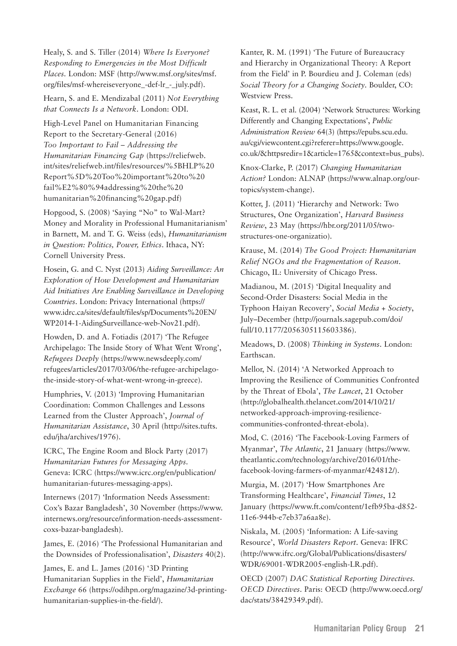Healy, S. and S. Tiller (2014) *Where Is Everyone? Responding to Emergencies in the Most Difficult Places.* London: MSF ([http://www.msf.org/sites/msf.](http://www.msf.org/sites/msf.org/files/msf-whereiseveryone_-def-lr_-_july.pdf) [org/files/msf-whereiseveryone\\_-def-lr\\_-\\_july.pdf](http://www.msf.org/sites/msf.org/files/msf-whereiseveryone_-def-lr_-_july.pdf)).

Hearn, S. and E. Mendizabal (2011) *Not Everything that Connects Is a Network*. London: ODI.

High-Level Panel on Humanitarian Financing Report to the Secretary-General (2016) *Too Important to Fail – Addressing the Humanitarian Financing Gap* [\(https://reliefweb.](https://reliefweb.int/sites/reliefweb.int/files/resources/%5BHLP%20Report%5D%20Too%20important%20to%20fail%E2%80%94addressing%20the%20humanitarian%20financing%20gap.pdf) [int/sites/reliefweb.int/files/resources/%5BHLP%20](https://reliefweb.int/sites/reliefweb.int/files/resources/%5BHLP%20Report%5D%20Too%20important%20to%20fail%E2%80%94addressing%20the%20humanitarian%20financing%20gap.pdf) [Report%5D%20Too%20important%20to%20](https://reliefweb.int/sites/reliefweb.int/files/resources/%5BHLP%20Report%5D%20Too%20important%20to%20fail%E2%80%94addressing%20the%20humanitarian%20financing%20gap.pdf) [fail%E2%80%94addressing%20the%20](https://reliefweb.int/sites/reliefweb.int/files/resources/%5BHLP%20Report%5D%20Too%20important%20to%20fail%E2%80%94addressing%20the%20humanitarian%20financing%20gap.pdf) [humanitarian%20financing%20gap.pdf](https://reliefweb.int/sites/reliefweb.int/files/resources/%5BHLP%20Report%5D%20Too%20important%20to%20fail%E2%80%94addressing%20the%20humanitarian%20financing%20gap.pdf))

Hopgood, S. (2008) 'Saying "No" to Wal-Mart? Money and Morality in Professional Humanitarianism' in Barnett, M. and T. G. Weiss (eds), *Humanitarianism in Question: Politics, Power, Ethics*. Ithaca, NY: Cornell University Press.

Hosein, G. and C. Nyst (2013) *Aiding Surveillance: An Exploration of How Development and Humanitarian Aid Initiatives Are Enabling Surveillance in Developing Countries*. London: Privacy International ([https://](https://www.idrc.ca/sites/default/files/sp/Documents%20EN/WP2014-1-AidingSurveillance-web-Nov21.pdf) [www.idrc.ca/sites/default/files/sp/Documents%20EN/](https://www.idrc.ca/sites/default/files/sp/Documents%20EN/WP2014-1-AidingSurveillance-web-Nov21.pdf) [WP2014-1-AidingSurveillance-web-Nov21.pdf\)](https://www.idrc.ca/sites/default/files/sp/Documents%20EN/WP2014-1-AidingSurveillance-web-Nov21.pdf).

Howden, D. and A. Fotiadis (2017) 'The Refugee Archipelago: The Inside Story of What Went Wrong', *Refugees Deeply* [\(https://www.newsdeeply.com/](https://www.newsdeeply.com/refugees/articles/2017/03/06/the-refugee-archipelago-the-inside-story-of-what-went-wrong-in-greece) [refugees/articles/2017/03/06/the-refugee-archipelago](https://www.newsdeeply.com/refugees/articles/2017/03/06/the-refugee-archipelago-the-inside-story-of-what-went-wrong-in-greece)[the-inside-story-of-what-went-wrong-in-greece\)](https://www.newsdeeply.com/refugees/articles/2017/03/06/the-refugee-archipelago-the-inside-story-of-what-went-wrong-in-greece).

Humphries, V. (2013) 'Improving Humanitarian Coordination: Common Challenges and Lessons Learned from the Cluster Approach', *Journal of Humanitarian Assistance*, 30 April ([http://sites.tufts.](http://sites.tufts.edu/jha/archives/1976) [edu/jha/archives/1976](http://sites.tufts.edu/jha/archives/1976)).

ICRC, The Engine Room and Block Party (2017) *Humanitarian Futures for Messaging Apps*. Geneva: ICRC [\(https://www.icrc.org/en/publication/](https://www.icrc.org/en/publication/humanitarian-futures-messaging-apps) [humanitarian-futures-messaging-apps\)](https://www.icrc.org/en/publication/humanitarian-futures-messaging-apps).

Internews (2017) 'Information Needs Assessment: Cox's Bazar Bangladesh', 30 November [\(https://www.](https://www.internews.org/resource/information-needs-assessment-coxs-bazar-bangladesh) [internews.org/resource/information-needs-assessment](https://www.internews.org/resource/information-needs-assessment-coxs-bazar-bangladesh)[coxs-bazar-bangladesh](https://www.internews.org/resource/information-needs-assessment-coxs-bazar-bangladesh)).

James, E. (2016) 'The Professional Humanitarian and the Downsides of Professionalisation', *Disasters* 40(2).

James, E. and L. James (2016) '3D Printing Humanitarian Supplies in the Field', *Humanitarian Exchange* 66 [\(https://odihpn.org/magazine/3d-printing](https://odihpn.org/magazine/3d-printing-humanitarian-supplies-in-the-field/)[humanitarian-supplies-in-the-field/](https://odihpn.org/magazine/3d-printing-humanitarian-supplies-in-the-field/)).

Kanter, R. M. (1991) 'The Future of Bureaucracy and Hierarchy in Organizational Theory: A Report from the Field' in P. Bourdieu and J. Coleman (eds) *Social Theory for a Changing Society*. Boulder, CO: Westview Press.

Keast, R. L. et al. (2004) 'Network Structures: Working Differently and Changing Expectations', *Public Administration Review* 64(3) [\(https://epubs.scu.edu.](https://epubs.scu.edu.au/cgi/viewcontent.cgi?referer=https://www.google.co.uk/&httpsredir=1&article=1765&context=bus_pubs) [au/cgi/viewcontent.cgi?referer=https://www.google.](https://epubs.scu.edu.au/cgi/viewcontent.cgi?referer=https://www.google.co.uk/&httpsredir=1&article=1765&context=bus_pubs) [co.uk/&httpsredir=1&article=1765&context=bus\\_pubs\)](https://epubs.scu.edu.au/cgi/viewcontent.cgi?referer=https://www.google.co.uk/&httpsredir=1&article=1765&context=bus_pubs).

Knox-Clarke, P. (2017) *Changing Humanitarian Action?* London: ALNAP [\(https://www.alnap.org/our](https://www.alnap.org/our-topics/system-change)[topics/system-change\)](https://www.alnap.org/our-topics/system-change).

Kotter, J. (2011) 'Hierarchy and Network: Two Structures, One Organization', *Harvard Business Review*, 23 May [\(https://hbr.org/2011/05/two](https://hbr.org/2011/05/two-structures-one-organizatio)[structures-one-organizatio\)](https://hbr.org/2011/05/two-structures-one-organizatio).

Krause, M. (2014) *The Good Project: Humanitarian Relief NGOs and the Fragmentation of Reason*. Chicago, IL: University of Chicago Press.

Madianou, M. (2015) 'Digital Inequality and Second-Order Disasters: Social Media in the Typhoon Haiyan Recovery', *Social Media + Society*, July–December [\(http://journals.sagepub.com/doi/](http://journals.sagepub.com/doi/full/10.1177/2056305115603386) [full/10.1177/2056305115603386](http://journals.sagepub.com/doi/full/10.1177/2056305115603386)).

Meadows, D. (2008) *Thinking in Systems*. London: Earthscan.

Mellor, N. (2014) 'A Networked Approach to Improving the Resilience of Communities Confronted by the Threat of Ebola', *The Lancet*, 21 October ([http://globalhealth.thelancet.com/2014/10/21/](http://globalhealth.thelancet.com/2014/10/21/networked-approach-improving-resilience-communities-confronted-threat-ebola) [networked-approach-improving-resilience](http://globalhealth.thelancet.com/2014/10/21/networked-approach-improving-resilience-communities-confronted-threat-ebola)[communities-confronted-threat-ebola](http://globalhealth.thelancet.com/2014/10/21/networked-approach-improving-resilience-communities-confronted-threat-ebola)).

Mod, C. (2016) 'The Facebook-Loving Farmers of Myanmar', *The Atlantic*, 21 January [\(https://www.](https://www.theatlantic.com/technology/archive/2016/01/the-facebook-loving-farmers-of-myanmar/424812/) [theatlantic.com/technology/archive/2016/01/the](https://www.theatlantic.com/technology/archive/2016/01/the-facebook-loving-farmers-of-myanmar/424812/)[facebook-loving-farmers-of-myanmar/424812/](https://www.theatlantic.com/technology/archive/2016/01/the-facebook-loving-farmers-of-myanmar/424812/)).

Murgia, M. (2017) 'How Smartphones Are Transforming Healthcare', *Financial Times*, 12 January ([https://www.ft.com/content/1efb95ba-d852-](https://www.ft.com/content/1efb95ba-d852-11e6-944b-e7eb37a6aa8e) [11e6-944b-e7eb37a6aa8e\)](https://www.ft.com/content/1efb95ba-d852-11e6-944b-e7eb37a6aa8e).

Niskala, M. (2005) 'Information: A Life-saving Resource', *World Disasters Report*. Geneva: IFRC ([http://www.ifrc.org/Global/Publications/disasters/](http://www.ifrc.org/Global/Publications/disasters/WDR/69001-WDR2005-english-LR.pdf) [WDR/69001-WDR2005-english-LR.pdf\)](http://www.ifrc.org/Global/Publications/disasters/WDR/69001-WDR2005-english-LR.pdf).

OECD (2007) *DAC Statistical Reporting Directives. OECD Directives*. Paris: OECD [\(http://www.oecd.org/](http://www.oecd.org/dac/stats/38429349.pdf) [dac/stats/38429349.pdf\)](http://www.oecd.org/dac/stats/38429349.pdf).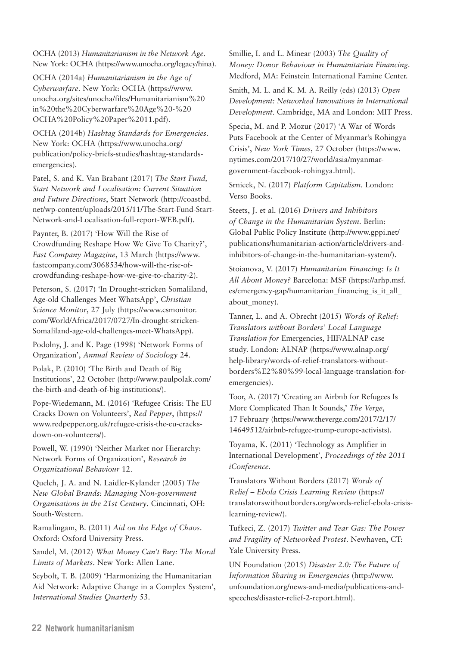OCHA (2013) *Humanitarianism in the Network Age*. New York: OCHA (<https://www.unocha.org/legacy/hina>).

OCHA (2014a) *Humanitarianism in the Age of Cyberwarfare*. New York: OCHA [\(https://www.](https://www.unocha.org/sites/unocha/files/Humanitarianism%20in%20the%20Cyberwarfare%20Age%20-%20OCHA%20Policy%20Paper%2011.pdf) [unocha.org/sites/unocha/files/Humanitarianism%20](https://www.unocha.org/sites/unocha/files/Humanitarianism%20in%20the%20Cyberwarfare%20Age%20-%20OCHA%20Policy%20Paper%2011.pdf) [in%20the%20Cyberwarfare%20Age%20-%20](https://www.unocha.org/sites/unocha/files/Humanitarianism%20in%20the%20Cyberwarfare%20Age%20-%20OCHA%20Policy%20Paper%2011.pdf) [OCHA%20Policy%20Paper%2011.pdf\)](https://www.unocha.org/sites/unocha/files/Humanitarianism%20in%20the%20Cyberwarfare%20Age%20-%20OCHA%20Policy%20Paper%2011.pdf).

OCHA (2014b) *Hashtag Standards for Emergencies*. New York: OCHA ([https://www.unocha.org/](https://www.unocha.org/publication/policy-briefs-studies/hashtag-standards-emergencies) [publication/policy-briefs-studies/hashtag-standards](https://www.unocha.org/publication/policy-briefs-studies/hashtag-standards-emergencies)[emergencies](https://www.unocha.org/publication/policy-briefs-studies/hashtag-standards-emergencies)).

Patel, S. and K. Van Brabant (2017) *The Start Fund, Start Network and Localisation: Current Situation and Future Directions*, Start Network ([http://coastbd.](http://coastbd.net/wp-content/uploads/2015/11/The-Start-Fund-Start-Network-and-Localisation-full-report-WEB.pdf) [net/wp-content/uploads/2015/11/The-Start-Fund-Start-](http://coastbd.net/wp-content/uploads/2015/11/The-Start-Fund-Start-Network-and-Localisation-full-report-WEB.pdf)[Network-and-Localisation-full-report-WEB.pdf\)](http://coastbd.net/wp-content/uploads/2015/11/The-Start-Fund-Start-Network-and-Localisation-full-report-WEB.pdf).

Paynter, B. (2017) 'How Will the Rise of Crowdfunding Reshape How We Give To Charity?', *Fast Company Magazine*, 13 March ([https://www.](https://www.fastcompany.com/3068534/how-will-the-rise-of-crowdfunding-reshape-how-we-give-to-charity-2) [fastcompany.com/3068534/how-will-the-rise-of](https://www.fastcompany.com/3068534/how-will-the-rise-of-crowdfunding-reshape-how-we-give-to-charity-2)[crowdfunding-reshape-how-we-give-to-charity-2\)](https://www.fastcompany.com/3068534/how-will-the-rise-of-crowdfunding-reshape-how-we-give-to-charity-2).

Peterson, S. (2017) 'In Drought-stricken Somaliland, Age-old Challenges Meet WhatsApp', *Christian Science Monitor*, 27 July [\(https://www.csmonitor.](https://www.csmonitor.com/World/Africa/2017/0727/In-drought-stricken-Somaliland-age-old-challenges-meet-WhatsApp) [com/World/Africa/2017/0727/In-drought-stricken-](https://www.csmonitor.com/World/Africa/2017/0727/In-drought-stricken-Somaliland-age-old-challenges-meet-WhatsApp)[Somaliland-age-old-challenges-meet-WhatsApp](https://www.csmonitor.com/World/Africa/2017/0727/In-drought-stricken-Somaliland-age-old-challenges-meet-WhatsApp)).

Podolny, J. and K. Page (1998) 'Network Forms of Organization', *Annual Review of Sociology* 24.

Polak, P. (2010) 'The Birth and Death of Big Institutions', 22 October [\(http://www.paulpolak.com/](http://www.paulpolak.com/the-birth-and-death-of-big-institutions/) [the-birth-and-death-of-big-institutions/](http://www.paulpolak.com/the-birth-and-death-of-big-institutions/)).

Pope-Wiedemann, M. (2016) 'Refugee Crisis: The EU Cracks Down on Volunteers', *Red Pepper*, [\(https://](https://www.redpepper.org.uk/refugee-crisis-the-eu-cracks-down-on-volunteers/) [www.redpepper.org.uk/refugee-crisis-the-eu-cracks](https://www.redpepper.org.uk/refugee-crisis-the-eu-cracks-down-on-volunteers/)[down-on-volunteers/\)](https://www.redpepper.org.uk/refugee-crisis-the-eu-cracks-down-on-volunteers/).

Powell, W. (1990) 'Neither Market nor Hierarchy: Network Forms of Organization', *Research in Organizational Behaviour* 12.

Quelch, J. A. and N. Laidler-Kylander (2005) *The New Global Brands: Managing Non-government Organisations in the 21st Century*. Cincinnati, OH: South-Western.

Ramalingam, B. (2011) *Aid on the Edge of Chaos*. Oxford: Oxford University Press.

Sandel, M. (2012) *What Money Can't Buy: The Moral Limits of Markets*. New York: Allen Lane.

Seybolt, T. B. (2009) 'Harmonizing the Humanitarian Aid Network: Adaptive Change in a Complex System', *International Studies Quarterly* 53.

Smillie, I. and L. Minear (2003) *The Quality of Money: Donor Behaviour in Humanitarian Financing*. Medford, MA: Feinstein International Famine Center.

Smith, M. L. and K. M. A. Reilly (eds) (2013) *Open Development: Networked Innovations in International Development*. Cambridge, MA and London: MIT Press.

Specia, M. and P. Mozur (2017) 'A War of Words Puts Facebook at the Center of Myanmar's Rohingya Crisis', *New York Times*, 27 October ([https://www.](https://www.nytimes.com/2017/10/27/world/asia/myanmar-government-facebook-rohingya.html) [nytimes.com/2017/10/27/world/asia/myanmar](https://www.nytimes.com/2017/10/27/world/asia/myanmar-government-facebook-rohingya.html)[government-facebook-rohingya.html\)](https://www.nytimes.com/2017/10/27/world/asia/myanmar-government-facebook-rohingya.html).

Srnicek, N. (2017) *Platform Capitalism*. London: Verso Books.

Steets, J. et al. (2016) *Drivers and Inhibitors of Change in the Humanitarian System*. Berlin: Global Public Policy Institute ([http://www.gppi.net/](http://www.gppi.net/publications/humanitarian-action/article/drivers-and-inhibitors-of-change-in-the-humanitarian-system/) [publications/humanitarian-action/article/drivers-and](http://www.gppi.net/publications/humanitarian-action/article/drivers-and-inhibitors-of-change-in-the-humanitarian-system/)[inhibitors-of-change-in-the-humanitarian-system/\)](http://www.gppi.net/publications/humanitarian-action/article/drivers-and-inhibitors-of-change-in-the-humanitarian-system/).

Stoianova, V. (2017) *Humanitarian Financing: Is It All About Money?* Barcelona: MSF ([https://arhp.msf.](https://arhp.msf.es/emergency-gap/humanitarian_financing_is_it_all_about_money) es/emergency-gap/humanitarian financing is it all about money).

Tanner, L. and A. Obrecht (2015) *Words of Relief: Translators without Borders' Local Language Translation for* Emergencies, HIF/ALNAP case study. London: ALNAP [\(https://www.alnap.org/](https://www.alnap.org/help-library/words-of-relief-translators-without-borders%E2%80%99-local-language-translation-for-emergencies) [help-library/words-of-relief-translators-without](https://www.alnap.org/help-library/words-of-relief-translators-without-borders%E2%80%99-local-language-translation-for-emergencies)[borders%E2%80%99-local-language-translation-for](https://www.alnap.org/help-library/words-of-relief-translators-without-borders%E2%80%99-local-language-translation-for-emergencies)[emergencies\)](https://www.alnap.org/help-library/words-of-relief-translators-without-borders%E2%80%99-local-language-translation-for-emergencies).

Toor, A. (2017) 'Creating an Airbnb for Refugees Is More Complicated Than It Sounds,' *The Verge*, 17 February ([https://www.theverge.com/2017/2/17/](https://www.theverge.com/2017/2/17/14649512/airbnb-refugee-trump-europe-activists)  [14649512/airbnb-refugee-trump-europe-activists](https://www.theverge.com/2017/2/17/14649512/airbnb-refugee-trump-europe-activists)).

Toyama, K. (2011) 'Technology as Amplifier in International Development', *Proceedings of the 2011 iConference*.

Translators Without Borders (2017) *Words of Relief – Ebola Crisis Learning Review* ([https://](https://translatorswithoutborders.org/words-relief-ebola-crisis-learning-review/) [translatorswithoutborders.org/words-relief-ebola-crisis](https://translatorswithoutborders.org/words-relief-ebola-crisis-learning-review/)[learning-review/\)](https://translatorswithoutborders.org/words-relief-ebola-crisis-learning-review/).

Tufkeci, Z. (2017) *Twitter and Tear Gas: The Power and Fragility of Networked Protest*. Newhaven, CT: Yale University Press.

UN Foundation (2015) *Disaster 2.0: The Future of Information Sharing in Emergencies* ([http://www.](http://www.unfoundation.org/news-and-media/publications-and-speeches/disaster-relief-2-report.html) [unfoundation.org/news-and-media/publications-and](http://www.unfoundation.org/news-and-media/publications-and-speeches/disaster-relief-2-report.html)[speeches/disaster-relief-2-report.html\)](http://www.unfoundation.org/news-and-media/publications-and-speeches/disaster-relief-2-report.html).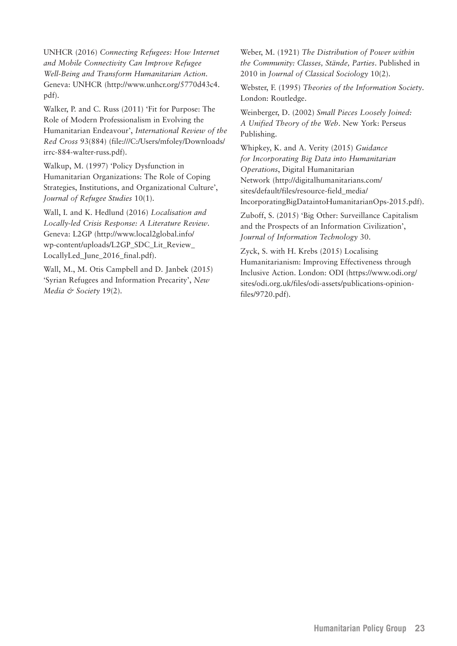UNHCR (2016) *Connecting Refugees: How Internet and Mobile Connectivity Can Improve Refugee Well-Being and Transform Humanitarian Action*. Geneva: UNHCR [\(http://www.unhcr.org/5770d43c4.](http://www.unhcr.org/5770d43c4.pdf) [pdf](http://www.unhcr.org/5770d43c4.pdf)).

Walker, P. and C. Russ (2011) 'Fit for Purpose: The Role of Modern Professionalism in Evolving the Humanitarian Endeavour', *International Review of the Red Cross* 93(884) [\(file:///C:/Users/mfoley/Downloads/](C://Users/mfoley/Downloads/irrc-884-walter-russ.pdf) [irrc-884-walter-russ.pdf](C://Users/mfoley/Downloads/irrc-884-walter-russ.pdf)).

Walkup, M. (1997) 'Policy Dysfunction in Humanitarian Organizations: The Role of Coping Strategies, Institutions, and Organizational Culture', *Journal of Refugee Studies* 10(1).

Wall, I. and K. Hedlund (2016) *Localisation and Locally-led Crisis Response: A Literature Review*. Geneva: L2GP [\(http://www.local2global.info/](http://www.local2global.info/wp-content/uploads/L2GP_SDC_Lit_Review_LocallyLed_June_2016_final.pdf) [wp-content/uploads/L2GP\\_SDC\\_Lit\\_Review\\_](http://www.local2global.info/wp-content/uploads/L2GP_SDC_Lit_Review_LocallyLed_June_2016_final.pdf) [LocallyLed\\_June\\_2016\\_final.pdf\)](http://www.local2global.info/wp-content/uploads/L2GP_SDC_Lit_Review_LocallyLed_June_2016_final.pdf).

Wall, M., M. Otis Campbell and D. Janbek (2015) 'Syrian Refugees and Information Precarity', *New Media & Society* 19(2).

Weber, M. (1921) *The Distribution of Power within the Community: Classes, Stände, Parties*. Published in 2010 in *Journal of Classical Sociology* 10(2).

Webster, F. (1995) *Theories of the Information Society*. London: Routledge.

Weinberger, D. (2002) *Small Pieces Loosely Joined: A Unified Theory of the Web*. New York: Perseus Publishing.

Whipkey, K. and A. Verity (2015) *Guidance for Incorporating Big Data into Humanitarian Operations*, Digital Humanitarian Network ([http://digitalhumanitarians.com/](http://digitalhumanitarians.com/sites/default/files/resource-field_media/IncorporatingBigDataintoHumanitarianOps-2015.pdf) [sites/default/files/resource-field\\_media/](http://digitalhumanitarians.com/sites/default/files/resource-field_media/IncorporatingBigDataintoHumanitarianOps-2015.pdf) [IncorporatingBigDataintoHumanitarianOps-2015.pdf\)](http://digitalhumanitarians.com/sites/default/files/resource-field_media/IncorporatingBigDataintoHumanitarianOps-2015.pdf).

Zuboff, S. (2015) 'Big Other: Surveillance Capitalism and the Prospects of an Information Civilization', *Journal of Information Technology* 30.

Zyck, S. with H. Krebs (2015) Localising Humanitarianism: Improving Effectiveness through Inclusive Action. London: ODI [\(https://www.odi.org/](https://www.odi.org/sites/odi.org.uk/files/odi-assets/publications-opinion-files/9720.pdf) [sites/odi.org.uk/files/odi-assets/publications-opinion](https://www.odi.org/sites/odi.org.uk/files/odi-assets/publications-opinion-files/9720.pdf)[files/9720.pdf\)](https://www.odi.org/sites/odi.org.uk/files/odi-assets/publications-opinion-files/9720.pdf).